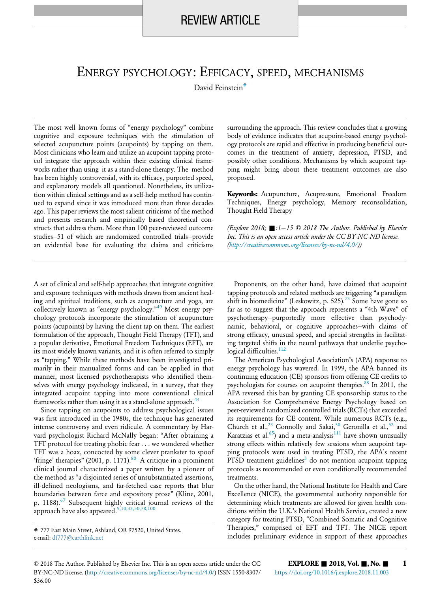# ENERGY PSYCHOLOGY: EFFICACY, SPEED, MECHANISMS

David Feinstein<sup>#</sup>

The most well known forms of "energy psychology" combine cognitive and exposure techniques with the stimulation of selected acupuncture points (acupoints) by tapping on them. Most clinicians who learn and utilize an acupoint tapping protocol integrate the approach within their existing clinical frameworks rather than using it as a stand-alone therapy. The method has been highly controversial, with its efficacy, purported speed, and explanatory models all questioned. Nonetheless, its utilization within clinical settings and as a self-help method has continued to expand since it was introduced more than three decades ago. This paper reviews the most salient criticisms of the method and presents research and empirically based theoretical constructs that address them. More than 100 peer-reviewed outcome studies—51 of which are randomized controlled trials—provide an evidential base for evaluating the claims and criticisms

A set of clinical and self-help approaches that integrate cognitive and exposure techniques with methods drawn from ancient healing and spiritual traditions, such as acupuncture and yoga, are collectively known as "energy psychology." [49](#page-12-0) Most energy psychology protocols incorporate the stimulation of acupuncture points (acupoints) by having the client tap on them. The earliest formulation of the approach, Thought Field Therapy (TFT), and a popular derivative, Emotional Freedom Techniques (EFT), are its most widely known variants, and it is often referred to simply as "tapping." While these methods have been investigated primarily in their manualized forms and can be applied in that manner, most licensed psychotherapists who identified themselves with energy psychology indicated, in a survey, that they integrated acupoint tapping into more conventional clinical frameworks rather than using it as a stand-alone approach.<sup>[44](#page-12-1)</sup>

Since tapping on acupoints to address psychological issues was first introduced in the 1980s, the technique has generated intense controversy and even ridicule. A commentary by Harvard psychologist Richard McNally began: "After obtaining a TFT protocol for treating phobic fear . . . we wondered whether TFT was a hoax, concocted by some clever prankster to spoof 'fringe' therapies" (2001, p. 1171). $80$  A critique in a prominent clinical journal characterized a paper written by a pioneer of the method as "a disjointed series of unsubstantiated assertions, ill-defined neologisms, and far-fetched case reports that blur boundaries between farce and expository prose" (Kline, 2001, p. 1188).<sup>[67](#page-12-2)</sup> Subsequent highly critical journal reviews of the approach have also appeared.<sup>[9,10,33,50,78,100](#page-11-0)</sup>

surrounding the approach. This review concludes that a growing body of evidence indicates that acupoint-based energy psychology protocols are rapid and effective in producing beneficial outcomes in the treatment of anxiety, depression, PTSD, and possibly other conditions. Mechanisms by which acupoint tapping might bring about these treatment outcomes are also proposed.

Keywords: Acupuncture, Acupressure, Emotional Freedom Techniques, Energy psychology, Memory reconsolidation, Thought Field Therapy

(Explore 2018;  $\blacksquare$ :1-15  $\heartsuit$  2018 The Author. Published by Elsevier Inc. This is an open access article under the CC BY-NC-ND license. (<http://creativecommons.org/licenses/by-nc-nd/4.0/>))

Proponents, on the other hand, have claimed that acupoint tapping protocols and related methods are triggering "a paradigm shift in biomedicine" (Leskowitz, p. 525).<sup>[73](#page-12-3)</sup> Some have gone so far as to suggest that the approach represents a "4th Wave" of psychotherapy—purportedly more effective than psychodynamic, behavioral, or cognitive approaches—with claims of strong efficacy, unusual speed, and special strengths in facilitating targeted shifts in the neural pathways that underlie psycho-logical difficulties.<sup>[112](#page-13-1)</sup>

The American Psychological Association's (APA) response to energy psychology has wavered. In 1999, the APA banned its continuing education (CE) sponsors from offering CE credits to psychologists for courses on acupoint therapies. $88 \text{ In } 2011$  $88 \text{ In } 2011$ , the APA reversed this ban by granting CE sponsorship status to the Association for Comprehensive Energy Psychology based on peer-reviewed randomized controlled trials (RCTs) that exceeded its requirements for CE content. While numerous RCTs (e.g., Church et al.,<sup>[23](#page-11-1)</sup> Connolly and Sakai,<sup>[30](#page-11-2)</sup> Geronilla et al.,<sup>[52](#page-12-4)</sup> and Karatzias et al. $^{65)}$  $^{65)}$  $^{65)}$  and a meta-analysis $^{111}$  $^{111}$  $^{111}$  have shown unusually strong effects within relatively few sessions when acupoint tapping protocols were used in treating PTSD, the APA's recent PTSD treatment guidelines<sup>[3](#page-10-0)</sup> do not mention acupoint tapping protocols as recommended or even conditionally recommended treatments.

On the other hand, the National Institute for Health and Care Excellence (NICE), the governmental authority responsible for determining which treatments are allowed for given health conditions within the U.K.'s National Health Service, created a new category for treating PTSD, "Combined Somatic and Cognitive Therapies," comprised of EFT and TFT. The NICE report includes preliminary evidence in support of these approaches

<sup># 777</sup> East Main Street, Ashland, OR 97520, United States. e-mail: [df777@earthlink.net](mailto:df777@earthlink.net)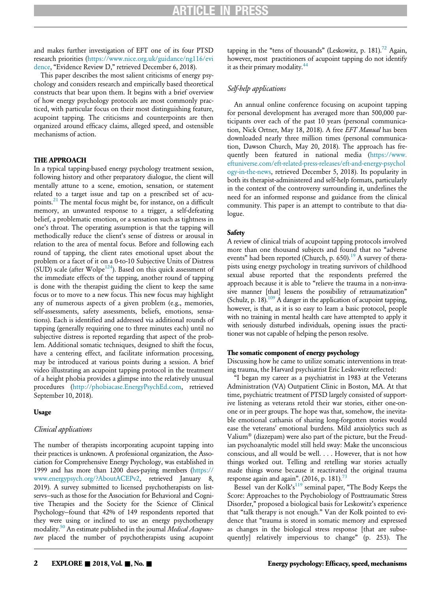and makes further investigation of EFT one of its four PTSD research priorities [\(https://www.nice.org.uk/guidance/ng116/evi](https://www.nice.org.uk/guidance/ng116/evidence) [dence,](https://www.nice.org.uk/guidance/ng116/evidence) "Evidence Review D," retrieved December 6, 2018).

This paper describes the most salient criticisms of energy psychology and considers research and empirically based theoretical constructs that bear upon them. It begins with a brief overview of how energy psychology protocols are most commonly practiced, with particular focus on their most distinguishing feature, acupoint tapping. The criticisms and counterpoints are then organized around efficacy claims, alleged speed, and ostensible mechanisms of action.

# THE APPROACH

In a typical tapping-based energy psychology treatment session, following history and other preparatory dialogue, the client will mentally attune to a scene, emotion, sensation, or statement related to a target issue and tap on a prescribed set of acu-points.<sup>[21](#page-11-3)</sup> The mental focus might be, for instance, on a difficult memory, an unwanted response to a trigger, a self-defeating belief, a problematic emotion, or a sensation such as tightness in one's throat. The operating assumption is that the tapping will methodically reduce the client's sense of distress or arousal in relation to the area of mental focus. Before and following each round of tapping, the client rates emotional upset about the problem or a facet of it on a 0-to-10 Subjective Units of Distress (SUD) scale (after Wolpe<sup>[124](#page-14-0)</sup>). Based on this quick assessment of the immediate effects of the tapping, another round of tapping is done with the therapist guiding the client to keep the same focus or to move to a new focus. This new focus may highlight any of numerous aspects of a given problem (e.g., memories, self-assessments, safety assessments, beliefs, emotions, sensations). Each is identified and addressed via additional rounds of tapping (generally requiring one to three minutes each) until no subjective distress is reported regarding that aspect of the problem. Additional somatic techniques, designed to shift the focus, have a centering effect, and facilitate information processing, may be introduced at various points during a session. A brief video illustrating an acupoint tapping protocol in the treatment of a height phobia provides a glimpse into the relatively unusual procedures ([http://phobiacase.EnergyPsychEd.com,](http://phobiacase.EnergyPsychEd.com) retrieved September 10, 2018).

#### Usage

#### Clinical applications

The number of therapists incorporating acupoint tapping into their practices is unknown. A professional organization, the Association for Comprehensive Energy Psychology, was established in 1999 and has more than 1200 dues-paying members [\(https://](https://www.energypsych.org/?AboutACEPv2) [www.energypsych.org/?AboutACEPv2](https://www.energypsych.org/?AboutACEPv2), retrieved January 8, 2019). A survey submitted to licensed psychotherapists on listservs—such as those for the Association for Behavioral and Cognitive Therapies and the Society for the Science of Clinical Psychology—found that 42% of 149 respondents reported that they were using or inclined to use an energy psychotherapy modality.<sup>50</sup> An estimate published in the journal Medical Acupuncture placed the number of psychotherapists using acupoint tapping in the "tens of thousands" (Leskowitz, p. 181).<sup>[72](#page-12-7)</sup> Again, however, most practitioners of acupoint tapping do not identify it as their primary modality.<sup>[44](#page-12-1)</sup>

# Self-help applications

An annual online conference focusing on acupoint tapping for personal development has averaged more than 500,000 participants over each of the past 10 years (personal communication, Nick Ortner, May 18, 2018). A free EFT Manual has been downloaded nearly three million times (personal communication, Dawson Church, May 20, 2018). The approach has frequently been featured in national media [\(https://www.](https://www.eftuniverse.com/eft-related-press-releases/eft-and-energy-psychology-in-the-news) [eftuniverse.com/eft-related-press-releases/eft-and-energy-psychol](https://www.eftuniverse.com/eft-related-press-releases/eft-and-energy-psychology-in-the-news) [ogy-in-the-news](https://www.eftuniverse.com/eft-related-press-releases/eft-and-energy-psychology-in-the-news), retrieved December 5, 2018). Its popularity in both its therapist-administered and self-help formats, particularly in the context of the controversy surrounding it, underlines the need for an informed response and guidance from the clinical community. This paper is an attempt to contribute to that dialogue.

# **Safety**

A review of clinical trials of acupoint tapping protocols involved more than one thousand subjects and found that no "adverse events" had been reported (Church, p. 650).<sup>[19](#page-11-4)</sup> A survey of therapists using energy psychology in treating survivors of childhood sexual abuse reported that the respondents preferred the approach because it is able to "relieve the trauma in a non-invasive manner [that] lessens the possibility of retraumatization" (Schulz, p. 18).<sup>[109](#page-13-4)</sup> A danger in the application of acupoint tapping, however, is that, as it is so easy to learn a basic protocol, people with no training in mental health care have attempted to apply it with seriously disturbed individuals, opening issues the practitioner was not capable of helping the person resolve.

# The somatic component of energy psychology

Discussing how he came to utilize somatic interventions in treating trauma, the Harvard psychiatrist Eric Leskowitz reflected:

"I began my career as a psychiatrist in 1983 at the Veterans Administration (VA) Outpatient Clinic in Boston, MA. At that time, psychiatric treatment of PTSD largely consisted of supportive listening as veterans retold their war stories, either one-onone or in peer groups. The hope was that, somehow, the inevitable emotional catharsis of sharing long-forgotten stories would ease the veterans' emotional burdens. Mild anxiolytics such as Valium<sup>®</sup> (diazepam) were also part of the picture, but the Freudian psychoanalytic model still held sway: Make the unconscious conscious, and all would be well. . . . However, that is not how things worked out. Telling and retelling war stories actually made things worse because it reactivated the original trauma response again and again". (2016, p. 181).<sup>[73](#page-12-3)</sup>

Bessel van der Kolk's<sup>[119](#page-14-1)</sup> seminal paper, "The Body Keeps the Score: Approaches to the Psychobiology of Posttraumatic Stress Disorder," proposed a biological basis for Leskowitz's experience that "talk therapy is not enough." Van der Kolk pointed to evidence that "trauma is stored in somatic memory and expressed as changes in the biological stress response [that are subsequently] relatively impervious to change" (p. 253). The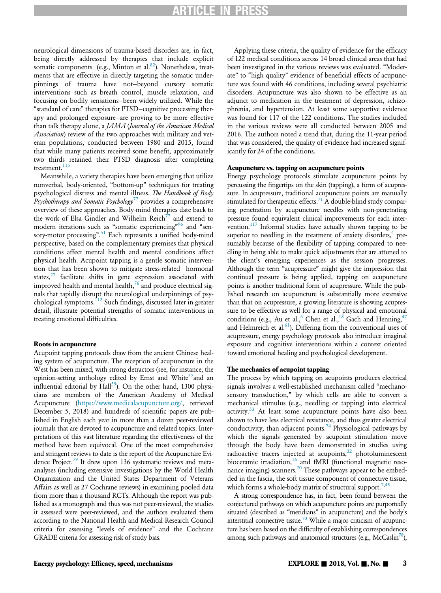neurological dimensions of trauma-based disorders are, in fact, being directly addressed by therapies that include explicit somatic components (e.g., Minton et al.<sup>82</sup>). Nonetheless, treatments that are effective in directly targeting the somatic underpinnings of trauma have not—beyond cursory somatic interventions such as breath control, muscle relaxation, and focusing on bodily sensations—been widely utilized. While the "standard of care" therapies for PTSD—cognitive processing therapy and prolonged exposure—are proving to be more effective than talk therapy alone, a JAMA (Journal of the American Medical Association) review of the two approaches with military and veteran populations, conducted between 1980 and 2015, found that while many patients received some benefit, approximately two thirds retained their PTSD diagnosis after completing treatment.<sup>[115](#page-14-2)</sup>

Meanwhile, a variety therapies have been emerging that utilize nonverbal, body-oriented, "bottom-up" techniques for treating psychological distress and mental illness. The Handbook of Body Psychotherapy and Somatic Psychology<sup>[77](#page-12-8)</sup> provides a comprehensive overview of these approaches. Body-mind therapies date back to the work of Elsa Gindler and Wilhelm Reich<sup>77</sup> and extend to modern iterations such as "somatic experiencing"<sup>[96](#page-13-6)</sup> and "sensory-motor processing". [51](#page-12-9) Each represents a unified body-mind perspective, based on the complementary premises that physical conditions affect mental health and mental conditions affect physical health. Acupoint tapping is a gentle somatic intervention that has been shown to mitigate stress-related hormonal states, $27$  facilitate shifts in gene expression associated with improved health and mental health, $^{76}$  $^{76}$  $^{76}$  and produce electrical signals that rapidly disrupt the neurological underpinnings of psy-chological symptoms.<sup>[112](#page-13-1)</sup> Such findings, discussed later in greater detail, illustrate potential strengths of somatic interventions in treating emotional difficulties.

#### Roots in acupuncture

Acupoint tapping protocols draw from the ancient Chinese healing system of acupuncture. The reception of acupuncture in the West has been mixed, with strong detractors (see, for instance, the opinion-setting anthology edited by Ernst and White<sup>37</sup>and an influential editorial by  $Hall^{59}$ ). On the other hand, 1300 physicians are members of the American Academy of Medical Acupuncture [\(https://www.medicalacupuncture.org/](https://www.medicalacupuncture.org/), retrieved December 5, 2018) and hundreds of scientific papers are published in English each year in more than a dozen peer-reviewed journals that are devoted to acupuncture and related topics. Interpretations of this vast literature regarding the effectiveness of the method have been equivocal. One of the most comprehensive and stringent reviews to date is the report of the Acupuncture Evidence Project.<sup>79</sup> It drew upon 136 systematic reviews and metaanalyses (including extensive investigations by the World Health Organization and the United States Department of Veterans Affairs as well as 27 Cochrane reviews) in examining pooled data from more than a thousand RCTs. Although the report was published as a monograph and thus was not peer-reviewed, the studies it assessed were peer-reviewed, and the authors evaluated them according to the National Health and Medical Research Council criteria for assessing "levels of evidence" and the Cochrane GRADE criteria for assessing risk of study bias.

Applying these criteria, the quality of evidence for the efficacy of 122 medical conditions across 14 broad clinical areas that had been investigated in the various reviews was evaluated. "Moderate" to "high quality" evidence of beneficial effects of acupuncture was found with 46 conditions, including several psychiatric disorders. Acupuncture was also shown to be effective as an adjunct to medication in the treatment of depression, schizophrenia, and hypertension. At least some supportive evidence was found for 117 of the 122 conditions. The studies included in the various reviews were all conducted between 2005 and 2016. The authors noted a trend that, during the 11-year period that was considered, the quality of evidence had increased significantly for 24 of the conditions.

#### Acupuncture vs. tapping on acupuncture points

Energy psychology protocols stimulate acupuncture points by percussing the fingertips on the skin (tapping), a form of acupressure. In acupressure, traditional acupuncture points are manually stimulated for therapeutic effects. $71$  A double-blind study comparing penetration by acupuncture needles with non-penetrating pressure found equivalent clinical improvements for each intervention.<sup>117</sup> Informal studies have actually shown tapping to be superior to needling in the treatment of anxiety disorders, $4$  presumably because of the flexibility of tapping compared to needling in being able to make quick adjustments that are attuned to the client's emerging experiences as the session progresses. Although the term "acupressure" might give the impression that continual pressure is being applied, tapping on acupuncture points is another traditional form of acupressure. While the published research on acupuncture is substantially more extensive than that on acupressure, a growing literature is showing acupressure to be effective as well for a range of physical and emotional conditions (e.g., Au et al., $6$  Chen et al., $18$  Gach and Henning,  $47$ and Helmreich et al. $61$ ). Differing from the conventional uses of acupressure, energy psychology protocols also introduce imaginal exposure and cognitive interventions within a context oriented toward emotional healing and psychological development.

# The mechanics of acupoint tapping

The process by which tapping on acupoints produces electrical signals involves a well-established mechanism called "mechanosensory transduction," by which cells are able to convert a mechanical stimulus (e.g., needling or tapping) into electrical activity.<sup>[53](#page-12-15)</sup> At least some acupuncture points have also been shown to have less electrical resistance, and thus greater electrical conductivity, than adjacent points.<sup>[74](#page-12-16)</sup> Physiological pathways by which the signals generated by acupoint stimulation move through the body have been demonstrated in studies using radioactive tracers injected at acupoints,<sup>[32](#page-11-10)</sup> photoluminescent bioceramic irradiation,<sup>[16](#page-11-11)</sup> and fMRI (functional magnetic reso-nance imaging) scanners.<sup>[70](#page-12-17)</sup> These pathways appear to be embedded in the fascia, the soft tissue component of connective tissue, which forms a whole-body matrix of structural support.<sup>[7](#page-11-12)[,45](#page-12-18)</sup>

A strong correspondence has, in fact, been found between the conjectured pathways on which acupuncture points are purportedly situated (described as "meridians" in acupuncture) and the body's interstitial connective tissue.<sup>70</sup> While a major criticism of acupuncture has been based on the difficulty of establishing correspondences among such pathways and anatomical structures (e.g., McCaslin<sup>78</sup>),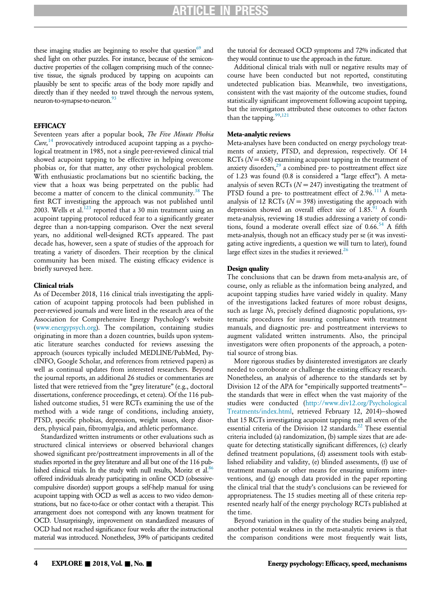these imaging studies are beginning to resolve that question $69$  and shed light on other puzzles. For instance, because of the semiconductive properties of the collagen comprising much of the connective tissue, the signals produced by tapping on acupoints can plausibly be sent to specific areas of the body more rapidly and directly than if they needed to travel through the nervous system, neuron-to-synapse-to-neuron.<sup>93</sup>

# **EFFICACY**

Seventeen years after a popular book, The Five Minute Phobia  $Cure$ ,<sup>[14](#page-11-13)</sup> provocatively introduced acupoint tapping as a psychological treatment in 1985, not a single peer-reviewed clinical trial showed acupoint tapping to be effective in helping overcome phobias or, for that matter, any other psychological problem. With enthusiastic proclamations but no scientific backing, the view that a hoax was being perpetrated on the public had become a matter of concern to the clinical community.<sup>[38](#page-11-14)</sup> The first RCT investigating the approach was not published until 2003. Wells et al.<sup>[123](#page-14-4)</sup> reported that a 30 min treatment using an acupoint tapping protocol reduced fear to a significantly greater degree than a non-tapping comparison. Over the next several years, no additional well-designed RCTs appeared. The past decade has, however, seen a spate of studies of the approach for treating a variety of disorders. Their reception by the clinical community has been mixed. The existing efficacy evidence is briefly surveyed here.

# Clinical trials

As of December 2018, 116 clinical trials investigating the application of acupoint tapping protocols had been published in peer-reviewed journals and were listed in the research area of the Association for Comprehensive Energy Psychology's website ([www.energypsych.org\)](http://www.energypsych.org). The compilation, containing studies originating in more than a dozen countries, builds upon systematic literature searches conducted for reviews assessing the approach (sources typically included MEDLINE/PubMed, PsycINFO, Google Scholar, and references from retrieved papers) as well as continual updates from interested researchers. Beyond the journal reports, an additional 26 studies or commentaries are listed that were retrieved from the "grey literature" (e.g., doctoral dissertations, conference proceedings, et cetera). Of the 116 published outcome studies, 51 were RCTs examining the use of the method with a wide range of conditions, including anxiety, PTSD, specific phobias, depression, weight issues, sleep disorders, physical pain, fibromyalgia, and athletic performance.

Standardized written instruments or other evaluations such as structured clinical interviews or observed behavioral changes showed significant pre/posttreatment improvements in all of the studies reported in the grey literature and all but one of the 116 published clinical trials. In the study with null results, Moritz et al. $86$ offered individuals already participating in online OCD (obsessivecompulsive disorder) support groups a self-help manual for using acupoint tapping with OCD as well as access to two video demonstrations, but no face-to-face or other contact with a therapist. This arrangement does not correspond with any known treatment for OCD. Unsurprisingly, improvement on standardized measures of OCD had not reached significance four weeks after the instructional material was introduced. Nonetheless, 39% of participants credited

the tutorial for decreased OCD symptoms and 72% indicated that they would continue to use the approach in the future.

Additional clinical trials with null or negative results may of course have been conducted but not reported, constituting undetected publication bias. Meanwhile, two investigations, consistent with the vast majority of the outcome studies, found statistically significant improvement following acupoint tapping, but the investigators attributed these outcomes to other factors than the tapping.<sup>[99](#page-13-11),[121](#page-14-5)</sup>

# Meta-analytic reviews

Meta-analyses have been conducted on energy psychology treatments of anxiety, PTSD, and depression, respectively. Of 14 RCTs  $(N = 658)$  examining acupoint tapping in the treatment of anxiety disorders, $29$  a combined pre- to posttreatment effect size of 1.23 was found (0.8 is considered a "large effect"). A metaanalysis of seven RCTs ( $N = 247$ ) investigating the treatment of PTSD found a pre- to posttreatment effect of 2.96.<sup>[111](#page-13-3)</sup> A metaanalysis of 12 RCTs ( $N = 398$ ) investigating the approach with depression showed an overall effect size of  $1.85.91$  $1.85.91$  A fourth meta-analysis, reviewing 18 studies addressing a variety of conditions, found a moderate overall effect size of  $0.66$ .<sup>[54](#page-12-20)</sup> A fifth meta-analysis, though not an efficacy study per se (it was investigating active ingredients, a question we will turn to later), found large effect sizes in the studies it reviewed. $^{26}$  $^{26}$  $^{26}$ 

# Design quality

The conclusions that can be drawn from meta-analysis are, of course, only as reliable as the information being analyzed, and acupoint tapping studies have varied widely in quality. Many of the investigations lacked features of more robust designs, such as large Ns, precisely defined diagnostic populations, systematic procedures for insuring compliance with treatment manuals, and diagnostic pre- and posttreatment interviews to augment validated written instruments. Also, the principal investigators were often proponents of the approach, a potential source of strong bias.

More rigorous studies by disinterested investigators are clearly needed to corroborate or challenge the existing efficacy research. Nonetheless, an analysis of adherence to the standards set by Division 12 of the APA for "empirically supported treatments" the standards that were in effect when the vast majority of the studies were conducted [\(http://www.div12.org/Psychological](http://www.div12.org/PsychologicalTreatments/index.html) [Treatments/index.html](http://www.div12.org/PsychologicalTreatments/index.html), retrieved February 12, 2014)—showed that 15 RCTs investigating acupoint tapping met all seven of the essential criteria of the Division 12 standards.<sup>[22](#page-11-17)</sup> These essential criteria included (a) randomization, (b) sample sizes that are adequate for detecting statistically significant differences, (c) clearly defined treatment populations, (d) assessment tools with established reliability and validity, (e) blinded assessments, (f) use of treatment manuals or other means for ensuring uniform interventions, and (g) enough data provided in the paper reporting the clinical trial that the study's conclusions can be reviewed for appropriateness. The 15 studies meeting all of these criteria represented nearly half of the energy psychology RCTs published at the time.

Beyond variation in the quality of the studies being analyzed, another potential weakness in the meta-analytic reviews is that the comparison conditions were most frequently wait lists,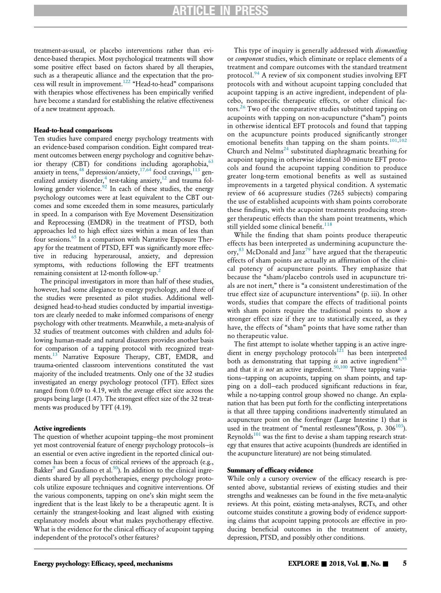treatment-as-usual, or placebo interventions rather than evidence-based therapies. Most psychological treatments will show some positive effect based on factors shared by all therapies, such as a therapeutic alliance and the expectation that the pro-cess will result in improvement.<sup>[122](#page-14-6)</sup> "Head-to-head" comparisons with therapies whose effectiveness has been empirically verified have become a standard for establishing the relative effectiveness of a new treatment approach.

# Head-to-head comparisons

Ten studies have compared energy psychology treatments with an evidence-based comparison condition. Eight compared treatment outcomes between energy psychology and cognitive behavior therapy (CBT) for conditions including agoraphobia,  $63$ anxiety in teens, <sup>[48](#page-12-22)</sup> depression/anxiety, <sup>[17,64](#page-11-18)</sup> food cravings, <sup>[113](#page-13-13)</sup> generalized anxiety disorder, $4$  test-taking anxiety, $^{12}$  $^{12}$  $^{12}$  and trauma fol-lowing gender violence.<sup>[92](#page-13-14)</sup> In each of these studies, the energy psychology outcomes were at least equivalent to the CBT outcomes and some exceeded them in some measures, particularly in speed. In a comparison with Eye Movement Desensitization and Reprocessing (EMDR) in the treatment of PTSD, both approaches led to high effect sizes within a mean of less than four sessions.<sup>[65](#page-12-5)</sup> In a comparison with Narrative Exposure Therapy for the treatment of PTSD, EFT was significantly more effective in reducing hyperarousal, anxiety, and depression symptoms, with reductions following the EFT treatments remaining consistent at 1[2](#page-10-1)-month follow-up.<sup>2</sup>

The principal investigators in more than half of these studies, however, had some allegiance to energy psychology, and three of the studies were presented as pilot studies. Additional welldesigned head-to-head studies conducted by impartial investigators are clearly needed to make informed comparisons of energy psychology with other treatments. Meanwhile, a meta-analysis of 32 studies of treatment outcomes with children and adults following human-made and natural disasters provides another basis for comparison of a tapping protocol with recognized treat-ments.<sup>[13](#page-11-20)</sup> Narrative Exposure Therapy, CBT, EMDR, and trauma-oriented classroom interventions constituted the vast majority of the included treatments. Only one of the 32 studies investigated an energy psychology protocol (TFT). Effect sizes ranged from 0.09 to 4.19, with the average effect size across the groups being large (1.47). The strongest effect size of the 32 treatments was produced by TFT (4.19).

#### Active ingredients

The question of whether acupoint tapping—the most prominent yet most controversial feature of energy psychology protocols—is an essential or even active ingredient in the reported clinical outcomes has been a focus of critical reviews of the approach (e.g., Bakker $^9$  $^9$  and Gaudiano et al.<sup>[50](#page-12-6)</sup>). In addition to the clinical ingredients shared by all psychotherapies, energy psychology protocols utilize exposure techniques and cognitive interventions. Of the various components, tapping on one's skin might seem the ingredient that is the least likely to be a therapeutic agent. It is certainly the strangest-looking and least aligned with existing explanatory models about what makes psychotherapy effective. What is the evidence for the clinical efficacy of acupoint tapping independent of the protocol's other features?

This type of inquiry is generally addressed with *dismantling* or component studies, which eliminate or replace elements of a treatment and compare outcomes with the standard treatment protocol.<sup>[94](#page-13-15)</sup> A review of six component studies involving EFT protocols with and without acupoint tapping concluded that acupoint tapping is an active ingredient, independent of placebo, nonspecific therapeutic effects, or other clinical fac-tors.<sup>[26](#page-11-16)</sup> Two of the comparative studies substituted tapping on acupoints with tapping on non-acupuncture ("sham") points in otherwise identical EFT protocols and found that tapping on the acupuncture points produced significantly stronger emotional benefits than tapping on the sham points.<sup>[101](#page-13-16)[,102](#page-13-17)</sup> Church and  $Nelms<sup>24</sup>$  $Nelms<sup>24</sup>$  $Nelms<sup>24</sup>$  substituted diaphragmatic breathing for acupoint tapping in otherwise identical 30-minute EFT protocols and found the acupoint tapping condition to produce greater long-term emotional benefits as well as sustained improvements in a targeted physical condition. A systematic review of 66 acupressure studies (7265 subjects) comparing the use of established acupoints with sham points corroborate these findings, with the acupoint treatments producing stronger therapeutic effects than the sham point treatments, which still yielded some clinical benefit.<sup>[118](#page-14-7)</sup>

While the finding that sham points produce therapeutic effects has been interpreted as undermining acupuncture the-ory,<sup>[83](#page-13-18)</sup> McDonald and Janz<sup>[79](#page-13-7)</sup> have argued that the therapeutic effects of sham points are actually an affirmation of the clinical potency of acupuncture points. They emphasize that because the "sham/placebo controls used in acupuncture trials are not inert," there is "a consistent underestimation of the true effect size of acupuncture interventions" (p. iii). In other words, studies that compare the effects of traditional points with sham points require the traditional points to show a stronger effect size if they are to statistically exceed, as they have, the effects of "sham" points that have some rather than no therapeutic value.

The first attempt to isolate whether tapping is an active ingredient in energy psychology protocols $121$  has been interpreted both as demonstrating that tapping is an active ingredient<sup>[8](#page-11-22)[,95](#page-13-19)</sup> and that it is not an active ingredient.<sup>[50,](#page-12-6)[100](#page-13-20)</sup> Three tapping variations—tapping on acupoints, tapping on sham points, and tapping on a doll—each produced significant reductions in fear, while a no-tapping control group showed no change. An explanation that has been put forth for the conflicting interpretations is that all three tapping conditions inadvertently stimulated an acupuncture point on the forefinger (Large Intestine 1) that is used in the treatment of "mental restlessness"(Ross, p.  $306^{103}$ ). Reynolds<sup>[101](#page-13-16)</sup> was the first to devise a sham tapping research strategy that ensures that active acupoints (hundreds are identified in the acupuncture literature) are not being stimulated.

# Summary of efficacy evidence

While only a cursory overview of the efficacy research is presented above, substantial reviews of existing studies and their strengths and weaknesses can be found in the five meta-analytic reviews. At this point, existing meta-analyses, RCTs, and other outcome stuides constitute a growing body of evidence supporting claims that acupoint tapping protocols are effective in producing beneficial outcomes in the treatment of anxiety, depression, PTSD, and possibly other conditions.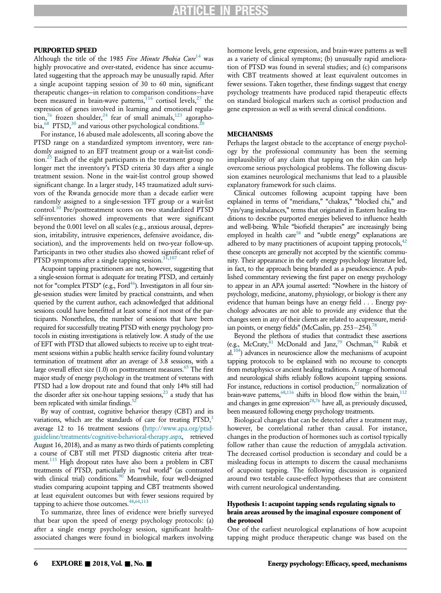# PURPORTED SPEED

Although the title of the 1985 Five Minute Phobia Cure<sup>[14](#page-11-13)</sup> was highly provocative and over-stated, evidence has since accumulated suggesting that the approach may be unusually rapid. After a single acupoint tapping session of 30 to 60 min, significant therapeutic changes—in relation to comparison conditions—have been measured in brain-wave patterns,  $116$  cortisol levels,  $27$  the expression of genes involved in learning and emotional regula-tion,<sup>[76](#page-12-10)</sup> frozen shoulder,<sup>[24](#page-11-21)</sup> fear of small animals,<sup>[123](#page-14-4)</sup> agorapho-bia,<sup>[68](#page-12-23)</sup> PTSD,<sup>[30](#page-11-23)</sup> and various other psychological conditions.<sup>2</sup>

For instance, 16 abused male adolescents, all scoring above the PTSD range on a standardized symptom inventory, were randomly assigned to an EFT treatment group or a wait-list condi-tion.<sup>[25](#page-11-24)</sup> Each of the eight participants in the treatment group no longer met the inventory's PTSD criteria 30 days after a single treatment session. None in the wait-list control group showed significant change. In a larger study, 145 traumatized adult survivors of the Rwanda genocide more than a decade earlier were randomly assigned to a single-session TFT group or a wait-list control.<sup>[30](#page-11-23)</sup> Pre/posttreatment scores on two standardized PTSD self-inventories showed improvements that were significant beyond the 0.001 level on all scales (e.g., anxious arousal, depression, irritability, intrusive experiences, defensive avoidance, dissociation), and the improvements held on two-year follow-up. Participants in two other studies also showed significant relief of PTSD symptoms after a single tapping session. $31,107$  $31,107$ 

Acupoint tapping practitioners are not, however, suggesting that a single-session format is adequate for treating PTSD, and certainly not for "complex PTSD" (e.g., Ford<sup>46</sup>). Investigators in all four single-session studies were limited by practical constraints, and when queried by the current author, each acknowledged that additional sessions could have benefitted at least some if not most of the participants. Nonetheless, the number of sessions that have been required for successfully treating PTSD with energy psychology protocols in existing investigations is relatively low. A study of the use of EFT with PTSD that allowed subjects to receive up to eight treatment sessions within a public health service facility found voluntary termination of treatment after an average of 3.8 sessions, with a large overall effect size  $(1.0)$  on posttreatment measures.<sup>65</sup> The first major study of energy psychology in the treatment of veterans with PTSD had a low dropout rate and found that only 14% still had the disorder after six one-hour tapping sessions, $23$  a study that has been replicated with similar findings.<sup>5</sup>

By way of contrast, cognitive behavior therapy (CBT) and its variations, which are the standards of care for treating  $PTSD$ ,<sup>[3](#page-10-0)</sup> average 12 to 16 treatment sessions ([http://www.apa.org/ptsd](http://www.apa.org/ptsd-guideline/treatments/cognitive-behavioral-therapy.aspx)[guideline/treatments/cognitive-behavioral-therapy.aspx,](http://www.apa.org/ptsd-guideline/treatments/cognitive-behavioral-therapy.aspx) retrieved August 16, 2018), and as many as two thirds of patients completing a course of CBT still met PTSD diagnostic criteria after treat-ment.<sup>[115](#page-14-2)</sup> High dropout rates have also been a problem in CBT treatments of PTSD, particularly in "real world" (as contrasted with clinical trial) conditions.<sup>90</sup> Meanwhile, four well-designed studies comparing acupoint tapping and CBT treatments showed at least equivalent outcomes but with fewer sessions required by tapping to achieve those outcomes.  $48,64,113$  $48,64,113$  $48,64,113$ 

To summarize, three lines of evidence were briefly surveyed that bear upon the speed of energy psychology protocols: (a) after a single energy psychology session, significant healthassociated changes were found in biological markers involving hormone levels, gene expression, and brain-wave patterns as well as a variety of clinical symptoms; (b) unusually rapid amelioration of PTSD was found in several studies; and (c) comparisons with CBT treatments showed at least equivalent outcomes in fewer sessions. Taken together, these findings suggest that energy psychology treatments have produced rapid therapeutic effects on standard biological markers such as cortisol production and gene expression as well as with several clinical conditions.

# MECHANISMS

Perhaps the largest obstacle to the acceptance of energy psychology by the professional community has been the seeming implausibility of any claim that tapping on the skin can help overcome serious psychological problems. The following discussion examines neurological mechanisms that lead to a plausible explanatory framework for such claims.

Clinical outcomes following acupoint tapping have been explained in terms of "meridians," "chakras," "blocked chi," and "yin/yang imbalances," terms that originated in Eastern healing traditions to describe purported energies believed to influence health and well-being. While "biofield therapies" are increasingly being employed in health care<sup>[58](#page-12-26)</sup> and "subtle energy" explanations are adhered to by many practitioners of acupoint tapping protocols, $42$ these concepts are generally not accepted by the scientific community. Their appearance in the early energy psychology literature led, in fact, to the approach being branded as a pseudoscience. A published commentary reviewing the first paper on energy psychology to appear in an APA journal asserted: "Nowhere in the history of psychology, medicine, anatomy, physiology, or biology is there any evidence that human beings have an energy field . . . Energy psychology advocates are not able to provide any evidence that the changes seen in any of their clients are related to acupressure, meridian points, or energy fields" (McCaslin, pp.  $253-254$ ).<sup>78</sup>

Beyond the plethora of studies that contradict these assertions (e.g., McCraty, $81$  McDonald and Janz,<sup>[79](#page-13-7)</sup> Oschman,<sup>94</sup> Rubik et  $al.<sup>104</sup>$ ) advances in neuroscience allow the mechanisms of acupoint tapping protocols to be explained with no recourse to concepts from metaphysics or ancient healing traditions. A range of hormonal and neurological shifts reliably follows acupoint tapping sessions. For instance, reductions in cortisol production, $27$  normalization of brain-wave patterns,  $68,116$  $68,116$  shifts in blood flow within the brain,  $112$ and changes in gene  $\exp$ ression<sup>28,[76](#page-12-10)</sup> have all, as previously discussed, been measured following energy psychology treatments.

Biological changes that can be detected after a treatment may, however, be correlational rather than causal. For instance, changes in the production of hormones such as cortisol typically follow rather than cause the reduction of amygdala activation. The decreased cortisol production is secondary and could be a misleading focus in attempts to discern the causal mechanisms of acupoint tapping. The following discussion is organized around two testable cause-effect hypotheses that are consistent with current neurological understanding.

# Hypothesis 1: acupoint tapping sends regulating signals to brain areas aroused by the imaginal exposure component of the protocol

One of the earliest neurological explanations of how acupoint tapping might produce therapeutic change was based on the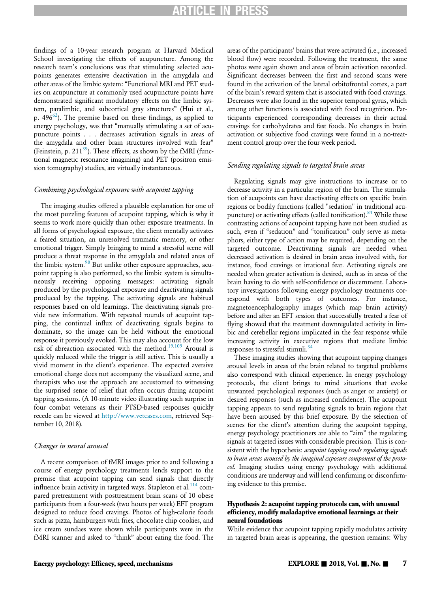findings of a 10-year research program at Harvard Medical School investigating the effects of acupuncture. Among the research team's conclusions was that stimulating selected acupoints generates extensive deactivation in the amygdala and other areas of the limbic system: "Functional MRI and PET studies on acupuncture at commonly used acupuncture points have demonstrated significant modulatory effects on the limbic system, paralimbic, and subcortical gray structures" (Hui et al., p.  $496^{62}$  $496^{62}$  $496^{62}$ ). The premise based on these findings, as applied to energy psychology, was that "manually stimulating a set of acupuncture points . . . decreases activation signals in areas of the amygdala and other brain structures involved with fear" (Feinstein, p. 211 $^{39}$  $^{39}$  $^{39}$ ). These effects, as shown by the fMRI (functional magnetic resonance imagining) and PET (positron emission tomography) studies, are virtually instantaneous.

# Combining psychological exposure with acupoint tapping

The imaging studies offered a plausible explanation for one of the most puzzling features of acupoint tapping, which is why it seems to work more quickly than other exposure treatments. In all forms of psychological exposure, the client mentally activates a feared situation, an unresolved traumatic memory, or other emotional trigger. Simply bringing to mind a stressful scene will produce a threat response in the amygdala and related areas of the limbic system.<sup>[98](#page-13-26)</sup> But unlike other exposure approaches, acupoint tapping is also performed, so the limbic system is simultaneously receiving opposing messages: activating signals produced by the psychological exposure and deactivating signals produced by the tapping. The activating signals are habitual responses based on old learnings. The deactivating signals provide new information. With repeated rounds of acupoint tapping, the continual influx of deactivating signals begins to dominate, so the image can be held without the emotional response it previously evoked. This may also account for the low risk of abreaction associated with the method.[19](#page-11-4),[109](#page-13-4) Arousal is quickly reduced while the trigger is still active. This is usually a vivid moment in the client's experience. The expected aversive emotional charge does not accompany the visualized scene, and therapists who use the approach are accustomed to witnessing the surprised sense of relief that often occurs during acupoint tapping sessions. (A 10-minute video illustrating such surprise in four combat veterans as their PTSD-based responses quickly recede can be viewed at [http://www.vetcases.com,](http://www.vetcases.com) retrieved September 10, 2018).

#### Changes in neural arousal

A recent comparison of fMRI images prior to and following a course of energy psychology treatments lends support to the premise that acupoint tapping can send signals that directly influence brain activity in targeted ways. Stapleton et al. $^{114}$  $^{114}$  $^{114}$  compared pretreatment with posttreatment brain scans of 10 obese participants from a four-week (two hours per week) EFT program designed to reduce food cravings. Photos of high-calorie foods such as pizza, hamburgers with fries, chocolate chip cookies, and ice cream sundaes were shown while participants were in the fMRI scanner and asked to "think" about eating the food. The areas of the participants' brains that were activated (i.e., increased blood flow) were recorded. Following the treatment, the same photos were again shown and areas of brain activation recorded. Significant decreases between the first and second scans were found in the activation of the lateral orbitofrontal cortex, a part of the brain's reward system that is associated with food cravings. Decreases were also found in the superior temporal gyrus, which among other functions is associated with food recognition. Participants experienced corresponding decreases in their actual cravings for carbohydrates and fast foods. No changes in brain activation or subjective food cravings were found in a no-treatment control group over the four-week period.

#### Sending regulating signals to targeted brain areas

Regulating signals may give instructions to increase or to decrease activity in a particular region of the brain. The stimulation of acupoints can have deactivating effects on specific brain regions or bodily functions (called "sedation" in traditional acu-puncture) or activating effects (called tonification).<sup>[84](#page-13-28)</sup> While these contrasting actions of acupoint tapping have not been studied as such, even if "sedation" and "tonification" only serve as metaphors, either type of action may be required, depending on the targeted outcome. Deactivating signals are needed when decreased activation is desired in brain areas involved with, for instance, food cravings or irrational fear. Activating signals are needed when greater activation is desired, such as in areas of the brain having to do with self-confidence or discernment. Laboratory investigations following energy psychology treatments correspond with both types of outcomes. For instance, magnetoencephalography images (which map brain activity) before and after an EFT session that successfully treated a fear of flying showed that the treatment downregulated activity in limbic and cerebellar regions implicated in the fear response while increasing activity in executive regions that mediate limbic responses to stressful stimuli.<sup>[34](#page-11-28)</sup>

These imaging studies showing that acupoint tapping changes arousal levels in areas of the brain related to targeted problems also correspond with clinical experience. In energy psychology protocols, the client brings to mind situations that evoke unwanted psychological responses (such as anger or anxiety) or desired responses (such as increased confidence). The acupoint tapping appears to send regulating signals to brain regions that have been aroused by this brief exposure. By the selection of scenes for the client's attention during the acupoint tapping, energy psychology practitioners are able to "aim" the regulating signals at targeted issues with considerable precision. This is consistent with the hypothesis: acupoint tapping sends regulating signals to brain areas aroused by the imaginal exposure component of the protocol. Imaging studies using energy psychology with additional conditions are underway and will lend confirming or disconfirming evidence to this premise.

# Hypothesis 2: acupoint tapping protocols can, with unusual efficiency, modify maladaptive emotional learnings at their neural foundations

While evidence that acupoint tapping rapidly modulates activity in targeted brain areas is appearing, the question remains: Why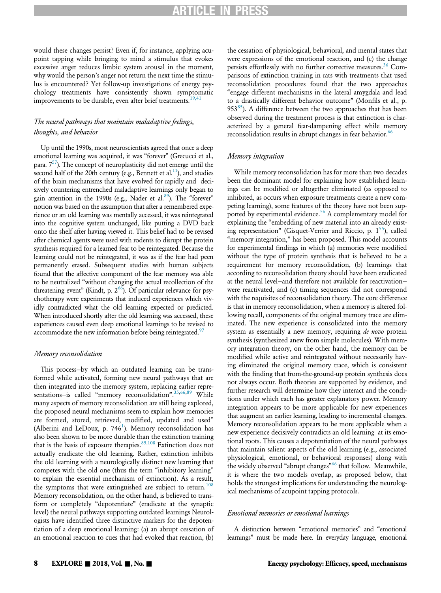would these changes persist? Even if, for instance, applying acupoint tapping while bringing to mind a stimulus that evokes excessive anger reduces limbic system arousal in the moment, why would the person's anger not return the next time the stimulus is encountered? Yet follow-up investigations of energy psychology treatments have consistently shown symptomatic improvements to be durable, even after brief treatments.<sup>[19,41](#page-11-4)</sup>

# The neural pathways that maintain maladaptive feelings, thoughts, and behavior

Up until the 1990s, most neuroscientists agreed that once a deep emotional learning was acquired, it was "forever" (Grecucci et al., para.  $7^{57}$ ). The concept of neuroplasticity did not emerge until the second half of the 20th century (e.g., Bennett et al.<sup>11</sup>), and studies of the brain mechanisms that have evolved for rapidly and decisively countering entrenched maladaptive learnings only began to gain attention in the 1990s (e.g., Nader et al.<sup>89</sup>). The "forever" notion was based on the assumption that after a remembered experience or an old learning was mentally accessed, it was reintegrated into the cognitive system unchanged, like putting a DVD back onto the shelf after having viewed it. This belief had to be revised after chemical agents were used with rodents to disrupt the protein synthesis required for a learned fear to be reintegrated. Because the learning could not be reintegrated, it was as if the fear had peen permanently erased. Subsequent studies with human subjects found that the affective component of the fear memory was able to be neutralized "without changing the actual recollection of the threatening event" (Kindt, p.  $2^{66}$ ). Of particular relevance for psychotherapy were experiments that induced experiences which vividly contradicted what the old learning expected or predicted. When introduced shortly after the old learning was accessed, these experiences caused even deep emotional learnings to be revised to accommodate the new information before being reintegrated.<sup>97</sup>

#### Memory reconsolidation

This process—by which an outdated learning can be transformed while activated, forming new neural pathways that are then integrated into the memory system, replacing earlier repre-sentations-is called "memory reconsolidation".<sup>[35,](#page-11-30)[66](#page-12-30)[,89](#page-13-29)</sup> While many aspects of memory reconsolidation are still being explored, the proposed neural mechanisms seem to explain how memories are formed, stored, retrieved, modified, updated and used" (Alberini and LeDoux, p.  $746<sup>1</sup>$  $746<sup>1</sup>$  $746<sup>1</sup>$ ). Memory reconsolidation has also been shown to be more durable than the extinction training that is the basis of exposure therapies. $85,108$  $85,108$  $85,108$  Extinction does not actually eradicate the old learning. Rather, extinction inhibits the old learning with a neurologically distinct new learning that competes with the old one (thus the term "inhibitory learning" to explain the essential mechanism of extinction). As a result, the symptoms that were extinguished are subject to return.<sup>[108](#page-13-32)</sup> Memory reconsolidation, on the other hand, is believed to transform or completely "depotentiate" (eradicate at the synaptic level) the neural pathways supporting outdated learnings Neurologists have identified three distinctive markers for the depotentiation of a deep emotional learning: (a) an abrupt cessation of an emotional reaction to cues that had evoked that reaction, (b)

the cessation of physiological, behavioral, and mental states that were expressions of the emotional reaction, and (c) the change persists effortlessly with no further corrective measures.<sup>[36](#page-11-31)</sup> Comparisons of extinction training in rats with treatments that used reconsolidation procedures found that the two approaches "engage different mechanisms in the lateral amygdala and lead to a drastically different behavior outcome" (Monfils et al., p.  $953<sup>85</sup>$ ). A difference between the two approaches that has been observed during the treatment process is that extinction is characterized by a general fear-dampening effect while memory reconsolidation results in abrupt changes in fear behavior.<sup>[66](#page-12-30)</sup>

# Memory integration

While memory reconsolidation has for more than two decades been the dominant model for explaining how established learnings can be modified or altogether eliminated (as opposed to inhibited, as occurs when exposure treatments create a new competing learning), some features of the theory have not been supported by experimental evidence.<sup>56</sup> A complementary model for explaining the "embedding of new material into an already existing representation" (Gisquet-Verrier and Riccio, p.  $1^{55}$ ), called "memory integration," has been proposed. This model accounts for experimental findings in which (a) memories were modified without the type of protein synthesis that is believed to be a requirement for memory reconsolidation, (b) learnings that according to reconsolidation theory should have been eradicated at the neural level—and therefore not available for reactivation were reactivated, and (c) timing sequences did not correspond with the requisites of reconsolidation theory. The core difference is that in memory reconsolidation, when a memory is altered following recall, components of the original memory trace are eliminated. The new experience is consolidated into the memory system as essentially a new memory, requiring de novo protein synthesis (synthesized anew from simple molecules). With memory integration theory, on the other hand, the memory can be modified while active and reintegrated without necessarily having eliminated the original memory trace, which is consistent with the finding that from-the-ground-up protein synthesis does not always occur. Both theories are supported by evidence, and further research will determine how they interact and the conditions under which each has greater explanatory power. Memory integration appears to be more applicable for new experiences that augment an earlier learning, leading to incremental changes. Memory reconsolidation appears to be more applicable when a new experience decisively contradicts an old learning at its emotional roots. This causes a depotentiation of the neural pathways that maintain salient aspects of the old learning (e.g., associated physiological, emotional, or behavioral responses) along with the widely observed "abrupt changes"<sup>[66](#page-12-30)</sup> that follow. Meanwhile, it is where the two models overlap, as proposed below, that holds the strongest implications for understanding the neurological mechanisms of acupoint tapping protocols.

## Emotional memories or emotional learnings

A distinction between "emotional memories" and "emotional learnings" must be made here. In everyday language, emotional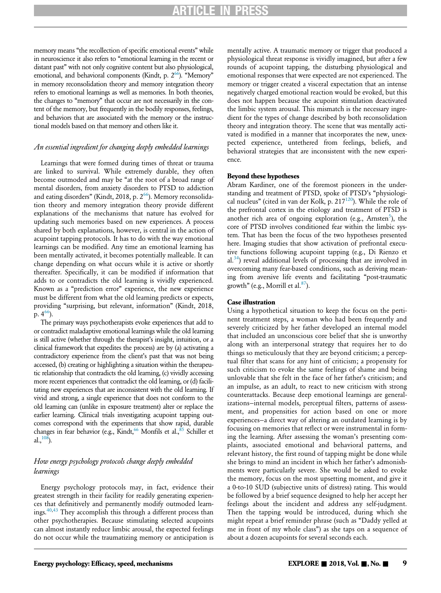memory means "the recollection of specific emotional events" while in neuroscience it also refers to "emotional learning in the recent or distant past" with not only cognitive content but also physiological, emotional, and behavioral components (Kindt, p.  $2^{66}$  $2^{66}$  $2^{66}$ ). "Memory" in memory reconsolidation theory and memory integration theory refers to emotional learnings as well as memories. In both theories, the changes to "memory" that occur are not necessarily in the content of the memory, but frequently in the bodily responses, feelings, and behaviors that are associated with the memory or the instructional models based on that memory and others like it.

# An essential ingredient for changing deeply embedded learnings

Learnings that were formed during times of threat or trauma are linked to survival. While extremely durable, they often become outmoded and may be "at the root of a broad range of mental disorders, from anxiety disorders to PTSD to addiction and eating disorders" (Kindt, 2018, p.  $2^{66}$ ). Memory reconsolidation theory and memory integration theory provide different explanations of the mechanisms that nature has evolved for updating such memories based on new experiences. A process shared by both explanations, however, is central in the action of acupoint tapping protocols. It has to do with the way emotional learnings can be modified. Any time an emotional learning has been mentally activated, it becomes potentially malleable. It can change depending on what occurs while it is active or shortly thereafter. Specifically, it can be modified if information that adds to or contradicts the old learning is vividly experienced. Known as a "prediction error" experience, the new experience must be different from what the old learning predicts or expects, providing "surprising, but relevant, information" (Kindt, 2018, p.  $4^{66}$ ).

The primary ways psychotherapists evoke experiences that add to or contradict maladaptive emotional learnings while the old learning is still active (whether through the therapist's insight, intuition, or a clinical framework that expedites the process) are by (a) activating a contradictory experience from the client's past that was not being accessed, (b) creating or highlighting a situation within the therapeutic relationship that contradicts the old learning, (c) vividly accessing more recent experiences that contradict the old learning, or (d) facilitating new experiences that are inconsistent with the old learning. If vivid and strong, a single experience that does not conform to the old learning can (unlike in exposure treatment) alter or replace the earlier learning. Clinical trials investigating acupoint tapping outcomes correspond with the experiments that show rapid, durable changes in fear behavior (e.g., Kindt,<sup>[66](#page-12-30)</sup> Monfils et al.,<sup>85</sup> Schiller et al.,  $^{108}$ ).

# How energy psychology protocols change deeply embedded learnings

Energy psychology protocols may, in fact, evidence their greatest strength in their facility for readily generating experiences that definitively and permanently modify outmoded learn-ings.<sup>[40](#page-11-32)[,43](#page-12-33)</sup> They accomplish this through a different process than other psychotherapies. Because stimulating selected acupoints can almost instantly reduce limbic arousal, the expected feelings do not occur while the traumatizing memory or anticipation is

mentally active. A traumatic memory or trigger that produced a physiological threat response is vividly imagined, but after a few rounds of acupoint tapping, the disturbing physiological and emotional responses that were expected are not experienced. The memory or trigger created a visceral expectation that an intense negatively charged emotional reaction would be evoked, but this does not happen because the acupoint stimulation deactivated the limbic system arousal. This mismatch is the necessary ingredient for the types of change described by both reconsolidation theory and integration theory. The scene that was mentally activated is modified in a manner that incorporates the new, unexpected experience, untethered from feelings, beliefs, and behavioral strategies that are inconsistent with the new experience.

# Beyond these hypotheses

Abram Kardiner, one of the foremost pioneers in the understanding and treatment of PTSD, spoke of PTSD's "physiological nucleus" (cited in van der Kolk, p. 217 $^{120}$  $^{120}$  $^{120}$ ). While the role of the prefrontal cortex in the etiology and treatment of PTSD is another rich area of ongoing exploration (e.g., Arnsten<sup>[5](#page-11-33)</sup>), the core of PTSD involves conditioned fear within the limbic system. That has been the focus of the two hypotheses presented here. Imaging studies that show activation of prefrontal executive functions following acupoint tapping (e.g., Di Rienzo et  $al.<sup>34</sup>$  $al.<sup>34</sup>$  $al.<sup>34</sup>$ ) reveal additional levels of processing that are involved in overcoming many fear-based conditions, such as deriving meaning from aversive life events and facilitating "post-traumatic growth" (e.g., Morrill et al. $87$ ).

# Case illustration

Using a hypothetical situation to keep the focus on the pertinent treatment steps, a woman who had been frequently and severely criticized by her father developed an internal model that included an unconscious core belief that she is unworthy along with an interpersonal strategy that requires her to do things so meticulously that they are beyond criticism; a perceptual filter that scans for any hint of criticism; a propensity for such criticism to evoke the same feelings of shame and being unlovable that she felt in the face of her father's criticism; and an impulse, as an adult, to react to new criticism with strong counterattacks. Because deep emotional learnings are generalizations—internal models, perceptual filters, patterns of assessment, and propensities for action based on one or more experiences—a direct way of altering an outdated learning is by focusing on memories that reflect or were instrumental in forming the learning. After assessing the woman's presenting complaints, associated emotional and behavioral patterns, and relevant history, the first round of tapping might be done while she brings to mind an incident in which her father's admonishments were particularly severe. She would be asked to evoke the memory, focus on the most upsetting moment, and give it a 0-to-10 SUD (subjective units of distress) rating. This would be followed by a brief sequence designed to help her accept her feelings about the incident and address any self-judgment. Then the tapping would be introduced, during which she might repeat a brief reminder phrase (such as "Daddy yelled at me in front of my whole class") as she taps on a sequence of about a dozen acupoints for several seconds each.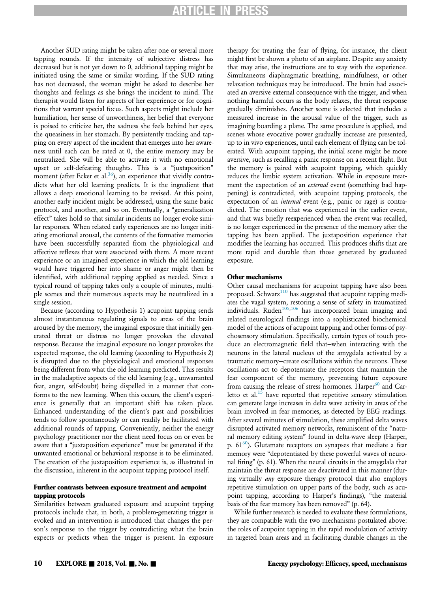# ICLE IN

Another SUD rating might be taken after one or several more tapping rounds. If the intensity of subjective distress has decreased but is not yet down to 0, additional tapping might be initiated using the same or similar wording. If the SUD rating has not decreased, the woman might be asked to describe her thoughts and feelings as she brings the incident to mind. The therapist would listen for aspects of her experience or for cognitions that warrant special focus. Such aspects might include her humiliation, her sense of unworthiness, her belief that everyone is poised to criticize her, the sadness she feels behind her eyes, the queasiness in her stomach. By persistently tracking and tapping on every aspect of the incident that emerges into her awareness until each can be rated at 0, the entire memory may be neutralized. She will be able to activate it with no emotional upset or self-defeating thoughts. This is a "juxtaposition" moment (after Ecker et al. $36$ ), an experience that vividly contradicts what her old learning predicts. It is the ingredient that allows a deep emotional learning to be revised. At this point, another early incident might be addressed, using the same basic protocol, and another, and so on. Eventually, a "generalization effect" takes hold so that similar incidents no longer evoke similar responses. When related early experiences are no longer initiating emotional arousal, the contents of the formative memories have been successfully separated from the physiological and affective reflexes that were associated with them. A more recent experience or an imagined experience in which the old learning would have triggered her into shame or anger might then be identified, with additional tapping applied as needed. Since a typical round of tapping takes only a couple of minutes, multiple scenes and their numerous aspects may be neutralized in a single session.

Because (according to Hypothesis 1) acupoint tapping sends almost instantaneous regulating signals to areas of the brain aroused by the memory, the imaginal exposure that initially generated threat or distress no longer provokes the elevated response. Because the imaginal exposure no longer provokes the expected response, the old learning (according to Hypothesis 2) is disrupted due to the physiological and emotional responses being different from what the old learning predicted. This results in the maladaptive aspects of the old learning (e.g., unwarranted fear, anger, self-doubt) being dispelled in a manner that conforms to the new learning. When this occurs, the client's experience is generally that an important shift has taken place. Enhanced understanding of the client's past and possibilities tends to follow spontaneously or can readily be facilitated with additional rounds of tapping. Conveniently, neither the energy psychology practitioner nor the client need focus on or even be aware that a "juxtaposition experience" must be generated if the unwanted emotional or behavioral response is to be eliminated. The creation of the juxtaposition experience is, as illustrated in the discussion, inherent in the acupoint tapping protocol itself.

# Further contrasts between exposure treatment and acupoint tapping protocols

Similarities between graduated exposure and acupoint tapping protocols include that, in both, a problem-generating trigger is evoked and an intervention is introduced that changes the person's response to the trigger by contradicting what the brain expects or predicts when the trigger is present. In exposure

therapy for treating the fear of flying, for instance, the client might first be shown a photo of an airplane. Despite any anxiety that may arise, the instructions are to stay with the experience. Simultaneous diaphragmatic breathing, mindfulness, or other relaxation techniques may be introduced. The brain had associated an aversive external consequence with the trigger, and when nothing harmful occurs as the body relaxes, the threat response gradually diminishes. Another scene is selected that includes a measured increase in the arousal value of the trigger, such as imagining boarding a plane. The same procedure is applied, and scenes whose evocative power gradually increase are presented, up to in vivo experiences, until each element of flying can be tolerated. With acupoint tapping, the initial scene might be more aversive, such as recalling a panic response on a recent flight. But the memory is paired with acupoint tapping, which quickly reduces the limbic system activation. While in exposure treatment the expectation of an external event (something bad happening) is contradicted, with acupoint tapping protocols, the expectation of an *internal* event (e.g., panic or rage) is contradicted. The emotion that was experienced in the earlier event, and that was briefly reexperienced when the event was recalled, is no longer experienced in the presence of the memory after the tapping has been applied. The juxtaposition experience that modifies the learning has occurred. This produces shifts that are more rapid and durable than those generated by graduated exposure.

# Other mechanisms

Other causal mechanisms for acupoint tapping have also been proposed. Schwarz<sup>[110](#page-13-34)</sup> has suggested that acupoint tapping mediates the vagal system, restoring a sense of safety in traumatized individuals. Ruden<sup>[105](#page-13-35),[106](#page-13-36)</sup> has incorporated brain imaging and related neurological findings into a sophisticated biochemical model of the actions of acupoint tapping and other forms of psychosensory stimulation. Specifically, certain types of touch produce an electromagnetic field that—when interacting with the neurons in the lateral nucleus of the amygdala activated by a traumatic memory—create oscillations within the neurons. These oscillations act to depotentiate the receptors that maintain the fear component of the memory, preventing future exposure from causing the release of stress hormones. Harper $60$  and Carletto et al. $15$  have reported that repetitive sensory stimulation can generate large increases in delta wave activity in areas of the brain involved in fear memories, as detected by EEG readings. After several minutes of stimulation, these amplified delta waves disrupted activated memory networks, reminiscent of the "natural memory editing system" found in delta-wave sleep (Harper, p.  $61^{60}$ ). Glutamate receptors on synapses that mediate a fear memory were "depotentiated by these powerful waves of neuronal firing" (p. 61). When the neural circuits in the amygdala that maintain the threat response are deactivated in this manner (during virtually any exposure therapy protocol that also employs repetitive stimulation on upper parts of the body, such as acupoint tapping, according to Harper's findings), "the material basis of the fear memory has been removed" (p. 64).

While further research is needed to evaluate these formulations, they are compatible with the two mechanisms postulated above: the roles of acupoint tapping in the rapid modulation of activity in targeted brain areas and in facilitating durable changes in the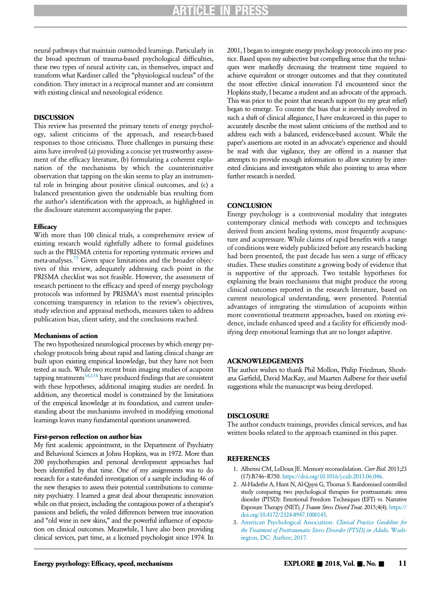neural pathways that maintain outmoded learnings. Particularly in the broad spectrum of trauma-based psychological difficulties, these two types of neural activity can, in themselves, impact and transform what Kardiner called the "physiological nucleus" of the condition. They interact in a reciprocal manner and are consistent with existing clinical and neurological evidence.

# DISCUSSION

This review has presented the primary tenets of energy psychology, salient criticisms of the approach, and research-based responses to those criticisms. Three challenges in pursuing these aims have involved (a) providing a concise yet trustworthy assessment of the efficacy literature, (b) formulating a coherent explanation of the mechanisms by which the counterintuitive observation that tapping on the skin seems to play an instrumental role in bringing about positive clinical outcomes, and (c) a balanced presentation given the undeniable bias resulting from the author's identification with the approach, as highlighted in the disclosure statement accompanying the paper.

#### **Efficacy**

With more than 100 clinical trials, a comprehensive review of existing research would rightfully adhere to formal guidelines such as the PRISMA criteria for reporting systematic reviews and meta-analyses.<sup>[75](#page-12-35)</sup> Given space limitations and the broader objectives of this review, adequately addressing each point in the PRISMA checklist was not feasible. However, the assessment of research pertinent to the efficacy and speed of energy psychology protocols was informed by PRISMA's most essential principles concerning transparency in relation to the review's objectives, study selection and appraisal methods, measures taken to address publication bias, client safety, and the conclusions reached.

# Mechanisms of action

The two hypothesized neurological processes by which energy psychology protocols bring about rapid and lasting clinical change are built upon existing empirical knowledge, but they have not been tested as such. While two recent brain imaging studies of acupoint tapping treatments $34,114$  $34,114$  have produced findings that are consistent with these hypotheses, additional imaging studies are needed. In addition, any theoretical model is constrained by the limitations of the empirical knowledge at its foundation, and current understanding about the mechanisms involved in modifying emotional learnings leaves many fundamental questions unanswered.

#### First-person reflection on author bias

<span id="page-10-2"></span><span id="page-10-1"></span><span id="page-10-0"></span>My first academic appointment, in the Department of Psychiatry and Behavioral Sciences at Johns Hopkins, was in 1972. More than 200 psychotherapies and personal development approaches had been identified by that time. One of my assignments was to do research for a state-funded investigation of a sample including 46 of the new therapies to assess their potential contributions to community psychiatry. I learned a great deal about therapeutic innovation while on that project, including the contagious power of a therapist's passions and beliefs, the veiled differences between true innovation and "old wine in new skins," and the powerful influence of expectation on clinical outcomes. Meanwhile, I have also been providing clinical services, part time, as a licensed psychologist since 1974. In

2001, I began to integrate energy psychology protocols into my practice. Based upon my subjective but compelling sense that the techniques were markedly decreasing the treatment time required to achieve equivalent or stronger outcomes and that they constituted the most effective clinical innovation I'd encountered since the Hopkins study, I became a student and an advocate of the approach. This was prior to the point that research support (to my great relief) began to emerge. To counter the bias that is inevitably involved in such a shift of clinical allegiance, I have endeavored in this paper to accurately describe the most salient criticisms of the method and to address each with a balanced, evidence-based account. While the paper's assertions are rooted in an advocate's experience and should be read with due vigilance, they are offered in a manner that attempts to provide enough information to allow scrutiny by interested clinicians and investigators while also pointing to areas where further research is needed.

# **CONCLUSION**

Energy psychology is a controversial modality that integrates contemporary clinical methods with concepts and techniques derived from ancient healing systems, most frequently acupuncture and acupressure. While claims of rapid benefits with a range of conditions were widely publicized before any research backing had been presented, the past decade has seen a surge of efficacy studies. These studies constitute a growing body of evidence that is supportive of the approach. Two testable hypotheses for explaining the brain mechanisms that might produce the strong clinical outcomes reported in the research literature, based on current neurological understanding, were presented. Potential advantages of integrating the stimulation of acupoints within more conventional treatment approaches, based on existing evidence, include enhanced speed and a facility for efficiently modifying deep emotional learnings that are no longer adaptive.

### ACKNOWLEDGEMENTS

The author wishes to thank Phil Mollon, Philip Friedman, Shoshana Garfield, David MacKay, and Maarten Aalberse for their useful suggestions while the manuscript was being developed.

#### **DISCLOSURE**

The author conducts trainings, provides clinical services, and has written books related to the approach examined in this paper.

# **REFERENCES**

- 1. Alberini CM, LeDoux JE. Memory reconsolidation. Curr Biol. 2013;23 (17):R746–R750. [https://doi.org/10.1016/j.cub.2013.06.046.](https://doi.org/10.1016/j.cub.2013.06.046)
- 2. Al-Hadethe A, Hunt N, Al-Qaysi G, Thomas S. Randomised controlled study comparing two psychological therapies for posttraumatic stress disorder (PTSD): Emotional Freedom Techniques (EFT) vs. Narrative Exposure Therapy (NET). J Traum Stress Disord Treat. 2015;4(4). [https://](https://doi.org/10.4172/2324-8947.1000145) [doi.org/10.4172/2324-8947.1000145.](https://doi.org/10.4172/2324-8947.1000145)
- 3. [American Psychological Association.](http://refhub.elsevier.com/S1550-8307(18)30351-3/sbref0003) Clinical Practice Guideline for [the Treatment of Posttraumatic Stress Disorder \(PTSD\) in Adults](http://refhub.elsevier.com/S1550-8307(18)30351-3/sbref0003). Wash[ington, DC: Author; 2017.](http://refhub.elsevier.com/S1550-8307(18)30351-3/sbref0003)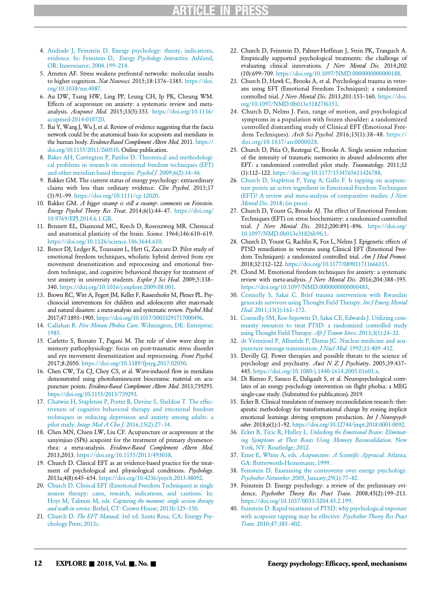- <span id="page-11-17"></span><span id="page-11-7"></span>4. [Andrade J, Feinstein D. Energy psychology: theory, indications,](http://refhub.elsevier.com/S1550-8307(18)30351-3/sbref0004) evidence. In: Feinstein D, [Energy Psychology Interactive](http://refhub.elsevier.com/S1550-8307(18)30351-3/sbref0004). Ashland, [OR: Innersource; 2004:199](http://refhub.elsevier.com/S1550-8307(18)30351-3/sbref0004)–214.
- <span id="page-11-33"></span><span id="page-11-1"></span>5. Arnsten AF. Stress weakens prefrontal networks: molecular insults to higher cognition. Nat Neurosci. 2015;18:1376-1385. [https://doi.](https://doi.org/10.1038/nn.4087) [org/10.1038/nn.4087.](https://doi.org/10.1038/nn.4087)
- <span id="page-11-21"></span><span id="page-11-8"></span>6. Au DW, Tsang HW, Ling PP, Leung CH, Ip PK, Cheung WM. Effects of acupressure on anxiety: a systematic review and metaanalysis. Acupunct Med. 2015;33(5):353. [https://doi.org/10.1136/](https://doi.org/10.1136/acupmed-2014-010720) [acupmed-2014-010720.](https://doi.org/10.1136/acupmed-2014-010720)
- <span id="page-11-12"></span>7. Bai Y, Wang J, Wu J, et al. Review of evidence suggesting that the fascia network could be the anatomical basis for acupoints and meridians in the human body. Evidence-Based Complement Altern Med. 2011. [https://](https://doi.org/10.1155/2011/260510) [doi.org/10.1155/2011/260510. Online publication.](https://doi.org/10.1155/2011/260510)
- <span id="page-11-24"></span><span id="page-11-22"></span>8. [Baker AH, Carrington P, Putilin D. Theoretical and methodologi](http://refhub.elsevier.com/S1550-8307(18)30351-3/sbref0008)[cal problems in research on emotional freedom techniques \(EFT\)](http://refhub.elsevier.com/S1550-8307(18)30351-3/sbref0008) [and other meridian based therapies.](http://refhub.elsevier.com/S1550-8307(18)30351-3/sbref0008) Psychol J. 2009;6(2):34–46.
- <span id="page-11-16"></span><span id="page-11-0"></span>9. Bakker GM. The current status of energy psychology: extraordinary claims with less than ordinary evidence. Clin Psychol. 2013;17 (3):91–99. [https://doi.org/10.1111/cp.12020.](https://doi.org/10.1111/cp.12020)
- <span id="page-11-5"></span>10. Bakker GM. A bigger swamp is still a swamp: comments on Feinstein. Energy Psychol Theory Res Treat. 2014;6(1):44–47. [https://doi.org/](https://doi.org/10.9769/EPJ.2014.6.1.GB) [10.9769/EPJ.2014.6.1.GB.](https://doi.org/10.9769/EPJ.2014.6.1.GB)
- <span id="page-11-29"></span>11. Bennett EL, Diamond MC, Krech D, Rosenzweig MR. Chemical and anatomical plasticity of the brain. Science. 1964;146:610-619. [https://doi.org/10.1126/science.146.3644.610.](https://doi.org/10.1126/science.146.3644.610)
- <span id="page-11-26"></span><span id="page-11-19"></span><span id="page-11-15"></span>12. Benor DJ, Ledger K, Toussaint L, Hett G, Zaccaro D. Pilot study of emotional freedom techniques, wholistic hybrid derived from eye movement desensitization and reprocessing and emotional freedom technique, and cognitive behavioral therapy for treatment of test anxiety in university students. Explor J Sci Heal. 2009;5:338-340. [https://doi.org/10.1016/j.explore.2009.08.001.](https://doi.org/10.1016/j.explore.2009.08.001)
- <span id="page-11-23"></span><span id="page-11-20"></span>13. Brown RC, Witt A, Fegert JM, Keller F, Rassenhofer M, Plener PL. Psychosocial interventions for children and adolescents after man-made and natural disasters: a meta-analysis and systematic review. Psychol Med. 2017;47:1893–1905. [https://doi.org/10.1017/S0033291717000496.](https://doi.org/10.1017/S0033291717000496)
- <span id="page-11-25"></span><span id="page-11-13"></span>14. Callahan R. Five Minute Phobia Cure[. Wilmington, DE: Enterprise;](http://refhub.elsevier.com/S1550-8307(18)30351-3/sbref0014) [1985.](http://refhub.elsevier.com/S1550-8307(18)30351-3/sbref0014)
- <span id="page-11-34"></span><span id="page-11-10"></span>15. Carletto S, Borsato T, Pagani M. The role of slow wave sleep in memory pathophysiology: focus on post-traumatic stress disorder and eye movement desensitization and reprocessing. Front Psychol. 2017;8:2050. [https://doi.org/10.3389/fpsyg.2017.02050.](https://doi.org/10.3389/fpsyg.2017.02050)
- <span id="page-11-28"></span><span id="page-11-11"></span>16. Chen CW, Tai CJ, Choy CS, et al. Wave-induced flow in meridians demonstrated using photoluminescent bioceramic material on acupuncture points. Evidence-Based Complement Altern Med. 2013;739293. [https://doi.org/10.1155/2013/739293.](https://doi.org/10.1155/2013/739293)
- <span id="page-11-30"></span><span id="page-11-18"></span>17. [Chatwin H, Stapleton P, Porter B, Devine S, Sheldon T. The effec](http://refhub.elsevier.com/S1550-8307(18)30351-3/sbref0016)[tiveness of cognitive behavioral therapy and emotional freedom](http://refhub.elsevier.com/S1550-8307(18)30351-3/sbref0016) [techniques in reducing depression and anxiety among adults: a](http://refhub.elsevier.com/S1550-8307(18)30351-3/sbref0016) pilot study. [Integr Med A Clin J](http://refhub.elsevier.com/S1550-8307(18)30351-3/sbref0016). 2016;15(2):27–34.
- <span id="page-11-31"></span><span id="page-11-9"></span>18. Chen MN, Chien LW, Liu CF. Acupuncture or acupressure at the sanyinjiao (SP6) acupoint for the treatment of primary dysmenorrhea: a meta-analysis. Evidence-Based Complement Altern Med. 2013;2013. [https://doi.org/10.1155/2013/493038.](https://doi.org/10.1155/2013/493038)
- <span id="page-11-14"></span><span id="page-11-6"></span><span id="page-11-4"></span>19. Church D. Clinical EFT as an evidence-based practice for the treatment of psychological and physiological conditions. Psychology. 2013a;4(8):645–654. [https://doi.org/10.4236/psych.2013.48092.](https://doi.org/10.4236/psych.2013.48092)
- <span id="page-11-27"></span><span id="page-11-2"></span>20. [Church D. Clinical EFT \(Emotional Freedom Techniques\) as single](http://refhub.elsevier.com/S1550-8307(18)30351-3/sbref0019) [session therapy: cases, research, indications, and cautions. In:](http://refhub.elsevier.com/S1550-8307(18)30351-3/sbref0019) Hoyt M, Talmon M, eds. [Capturing the moment: single session therapy](http://refhub.elsevier.com/S1550-8307(18)30351-3/sbref0019) and walk-in service[. Bethel, CT: Crown House; 2013b:125](http://refhub.elsevier.com/S1550-8307(18)30351-3/sbref0019)–150.
- <span id="page-11-32"></span><span id="page-11-3"></span>21. Church D. The EFT Manual[. 3rd ed. Santa Rosa, CA: Energy Psy](http://refhub.elsevier.com/S1550-8307(18)30351-3/sbref0020)[chology Press; 2013c.](http://refhub.elsevier.com/S1550-8307(18)30351-3/sbref0020)
- 22. Church D, Feinstein D, Palmer-Hoffman J, Stein PK, Tranguch A. Empirically supported psychological treatments: the challenge of evaluating clinical innovations. J Nerv Mental Dis. 2014;202 (10):699–709. [https://doi.org/10.1097/NMD.0000000000000188.](https://doi.org/10.1097/NMD.0000000000000188)
- 23. Church D, Hawk C, Brooks A, et al. Psychological trauma in veterans using EFT (Emotional Freedom Techniques): a randomized controlled trial. J Nerv Mental Dis. 2013;201:153-160. [https://doi.](https://doi.org/10.1097/NMD.0b013e31827f6351) [org/10.1097/NMD.0b013e31827f6351.](https://doi.org/10.1097/NMD.0b013e31827f6351)
- 24. Church D, Nelms J. Pain, range of motion, and psychological symptoms in a population with frozen shoulder: a randomized controlled dismantling study of Clinical EFT (Emotional Freedom Techniques). Arch Sci Psychol. 2016;15(1):38–48. [https://](https://doi.org/10.1037/arc0000028) [doi.org/10.1037/arc0000028.](https://doi.org/10.1037/arc0000028)
- 25. Church D, Pina O, Reategui C, Brooks A. Single session reduction ~ of the intensity of traumatic memories in abused adolescents after EFT: a randomized controlled pilot study. Traumatology. 2011;32 (1):112–122. [https://doi.org/10.1177/1534765611426788.](https://doi.org/10.1177/1534765611426788)
- 26. [Church D, Stapleton P, Yang A, Gallo F. Is tapping on acupunc](http://refhub.elsevier.com/S1550-8307(18)30351-3/sbref0025)[ture points an active ingredient in Emotional Freedom Techniques](http://refhub.elsevier.com/S1550-8307(18)30351-3/sbref0025) [\(EFT\)? A review and meta-analysis of comparative studies.](http://refhub.elsevier.com/S1550-8307(18)30351-3/sbref0025) *J Nerv* Mental Dis. 2018; (in press).
- 27. Church D, Yount G, Brooks AJ. The effect of Emotional Freedom Techniques (EFT) on stress biochemistry: a randomized controlled trial. *J Nerv Mental Dis.* 2012;200:891-896. [https://doi.org/](https://doi.org/10.1097/NMD.0b013e31826b9fc1) [10.1097/NMD.0b013e31826b9fc1.](https://doi.org/10.1097/NMD.0b013e31826b9fc1)
- 28. Church D, Yount G, Rachlin K, Fox L, Nelms J. Epigenetic effects of PTSD remediation in veterans using Clinical EFT (Emotional Freedom Techniques): a randomized controlled trial. Am J Heal Promot. 2018;32:112–122. [https://doi.org/10.1177/089011711666115.](https://doi.org/10.1177/089011711666115)
- 29. Clond M. Emotional freedom techniques for anxiety: a systematic review with meta-analysis. *J Nerv Mental Dis*. 2016;204:388-395. [https://doi.org/10.1097/NMD.0000000000000483.](https://doi.org/10.1097/NMD.0000000000000483)
- 30. [Connolly S, Sakai C. Brief trauma intervention with Rwandan](http://refhub.elsevier.com/S1550-8307(18)30351-3/sbref0029) [genocide survivors using Thought Field Therapy.](http://refhub.elsevier.com/S1550-8307(18)30351-3/sbref0029) Int J Emerg Mental Heal[. 2011;13\(3\):161](http://refhub.elsevier.com/S1550-8307(18)30351-3/sbref0029)-172.
- 31. [Connolly SM, Roe-Sepowitz D, Sakai CE, Edwards J. Utilizing com](http://refhub.elsevier.com/S1550-8307(18)30351-3/sbref0030)[munity resources to treat PTSD: a randomized controlled study](http://refhub.elsevier.com/S1550-8307(18)30351-3/sbref0030) [using Thought Field Therapy.](http://refhub.elsevier.com/S1550-8307(18)30351-3/sbref0030) Afr J Traum Stress. 2013;3(1):24-32.
- 32. [de Vernejoul P, Albar](http://refhub.elsevier.com/S1550-8307(18)30351-3/sbref0030a)ède P, Darras JC. Nuclear medicine and acu[puncture message transmission.](http://refhub.elsevier.com/S1550-8307(18)30351-3/sbref0030a) *J Nucl Med*. 1992;33:409-412.
- 33. Devilly GJ. Power therapies and possible threats to the science of psychology and psychiatry. Aust N Z J Psychiatry. 2005;39:437-445. [https://doi.org/10.1080/j.1440-1614.2005.01601.x.](https://doi.org/10.1080/j.1440-1614.2005.01601.x)
- 34. Di Rienzo F, Saruco E, Daligault S, et al. Neuropsychological correlates of an energy psychology intervention on flight phobia: a MEG single-case study. (Submitted for publication). 2019.
- 35. Ecker B. Clinical translation of memory reconsolidation research: therapeutic methodology for transformational change by erasing implicit emotional learnings driving symptom production. Int J Neuropsychother. 2018;6(1):1–92. [https://doi.org/10.12744/ijnpt.2018.0001-0092.](https://doi.org/10.12744/ijnpt.2018.0001-0092)
- 36. Ecker B, Ticic R, Hulley L. [Unlocking the Emotional Brain: Eliminat](http://refhub.elsevier.com/S1550-8307(18)30351-3/sbref0033)[ing Symptoms at Their Roots Using Memory Reconsolidation](http://refhub.elsevier.com/S1550-8307(18)30351-3/sbref0033). New [York, NY: Routledge; 2012.](http://refhub.elsevier.com/S1550-8307(18)30351-3/sbref0033)
- 37. [Ernst E, White A, eds.](http://refhub.elsevier.com/S1550-8307(18)30351-3/sbref0034) Acupuncture: A Scientific Appraisal. Atlanta, [GA: Butterworth-Heinemann; 1999.](http://refhub.elsevier.com/S1550-8307(18)30351-3/sbref0034)
- 38. [Feinstein D. Examining the controversy over energy psychology.](http://refhub.elsevier.com/S1550-8307(18)30351-3/sbref0035) Psychother Networker[. 2005, January;29\(1\):77](http://refhub.elsevier.com/S1550-8307(18)30351-3/sbref0035)–82.
- 39. Feinstein D. Energy psychology: a review of the preliminary evidence. Psychother Theory Res Pract Train. 2008;45(2):199-213. [https://doi.org/10.1037/0033-3204.45.2.199.](https://doi.org/10.1037/0033-3204.45.2.199)
- 40. [Feinstein D. Rapid treatment of PTSD: why psychological exposure](http://refhub.elsevier.com/S1550-8307(18)30351-3/sbref0037) [with acupoint tapping may be effective.](http://refhub.elsevier.com/S1550-8307(18)30351-3/sbref0037) Psychother Theory Res Pract Train[. 2010;47:385](http://refhub.elsevier.com/S1550-8307(18)30351-3/sbref0037)–402.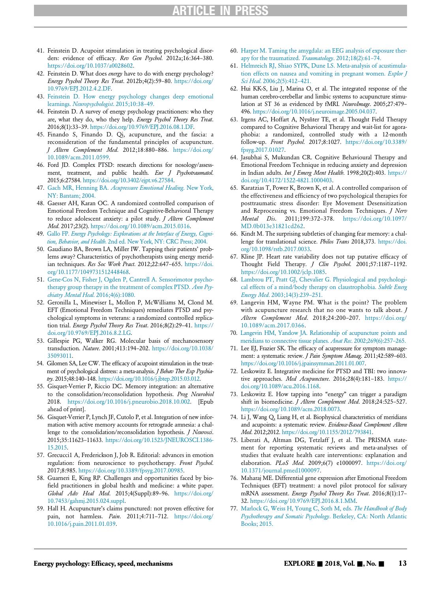- <span id="page-12-34"></span>41. Feinstein D. Acupoint stimulation in treating psychological disorders: evidence of efficacy. Rev Gen Psychol. 2012a;16:364–380. [https://doi.org/10.1037/a0028602.](https://doi.org/10.1037/a0028602)
- <span id="page-12-27"></span><span id="page-12-14"></span>42. Feinstein D. What does energy have to do with energy psychology? Energy Psychol Theory Res Treat. 2012b;4(2):59–80. [https://doi.org/](https://doi.org/10.9769/EPJ.2012.4.2.DF) [10.9769/EPJ.2012.4.2.DF.](https://doi.org/10.9769/EPJ.2012.4.2.DF)
- <span id="page-12-33"></span><span id="page-12-28"></span>43. [Feinstein D. How energy psychology changes deep emotional](http://refhub.elsevier.com/S1550-8307(18)30351-3/sbref0040) learnings. [Neuropsychologist](http://refhub.elsevier.com/S1550-8307(18)30351-3/sbref0040). 2015;10:38–49.
- <span id="page-12-21"></span><span id="page-12-1"></span>44. Feinstein D. A survey of energy psychology practitioners: who they are, what they do, who they help. Energy Psychol Theory Res Treat. 2016;8(1):33–39. [https://doi.org/10.9769/EPJ.2016.08.1.DF.](https://doi.org/10.9769/EPJ.2016.08.1.DF)
- <span id="page-12-18"></span>45. Finando S, Finando D. Qi, acupuncture, and the fascia: a reconsideration of the fundamental principles of acupuncture. J Altern Complement Med. 2012;18:880–886. [https://doi.org/](https://doi.org/10.1089/acm.2011.0599) [10.1089/acm.2011.0599.](https://doi.org/10.1089/acm.2011.0599)
- <span id="page-12-25"></span><span id="page-12-24"></span>46. Ford JD. Complex PTSD: research directions for nosology/assessment, treatment, and public health. Eur J Psychotraumatol. 2015;6:27584. [https://doi.org/10.3402/ejpt.v6.27584.](https://doi.org/10.3402/ejpt.v6.27584)
- <span id="page-12-13"></span><span id="page-12-5"></span>47. Gach MR, Henning BA. [Acupressure Emotional Healing](http://refhub.elsevier.com/S1550-8307(18)30351-3/sbref0043). New York, [NY: Bantam; 2004.](http://refhub.elsevier.com/S1550-8307(18)30351-3/sbref0043)
- <span id="page-12-22"></span>48. Gaesser AH, Karan OC. A randomized controlled comparison of Emotional Freedom Technique and Cognitive-Behavioral Therapy to reduce adolescent anxiety: a pilot study. J Altern Complement Med. 2017;23(2). [https://doi.org/10.1089/acm.2015.0316.](https://doi.org/10.1089/acm.2015.0316)
- <span id="page-12-30"></span><span id="page-12-0"></span>49. Gallo FP. [Energy Psychology: Explorations at the Interface of Energy, Cogni](http://refhub.elsevier.com/S1550-8307(18)30351-3/sbref0045)tion, Behavior, and Health[. 2nd ed. New York, NY: CRC Press; 2004.](http://refhub.elsevier.com/S1550-8307(18)30351-3/sbref0045)
- <span id="page-12-6"></span><span id="page-12-2"></span>50. Gaudiano BA, Brown LA, Miller IW. Tapping their patients' problems away? Characteristics of psychotherapists using energy meridian techniques. Res Soc Work Pract. 2012;22:647–655. [https://doi.](https://doi.org/10.1177/1049731512448468) [org/10.1177/1049731512448468.](https://doi.org/10.1177/1049731512448468)
- <span id="page-12-23"></span><span id="page-12-9"></span>51. [Gene-Cos N, Fisher J, Ogden P, Cantrell A. Sensorimotor psycho](http://refhub.elsevier.com/S1550-8307(18)30351-3/sbref0047)[therapy group therapy in the treatment of complex PTSD.](http://refhub.elsevier.com/S1550-8307(18)30351-3/sbref0047) Ann Psy[chiatry Mental Heal](http://refhub.elsevier.com/S1550-8307(18)30351-3/sbref0047). 2016;4(6):1080.
- <span id="page-12-19"></span><span id="page-12-4"></span>52. Geronilla L, Minewiser L, Mollon P, McWilliams M, Clond M. EFT (Emotional Freedom Techniques) remediates PTSD and psychological symptoms in veterans: a randomized controlled replication trial. Energy Psychol Theory Res Treat. 2016;8(2):29–41. [https://](https://doi.org/10.9769/EPJ.2016.8.2.LG) [doi.org/10.9769/EPJ.2016.8.2.LG.](https://doi.org/10.9769/EPJ.2016.8.2.LG)
- <span id="page-12-17"></span><span id="page-12-15"></span><span id="page-12-12"></span>53. Gillespie PG, Walker RG. Molecular basis of mechanosensory transduction. Nature. 2001;413:194–202. [https://doi.org/10.1038/](https://doi.org/10.1038/35093011) [35093011.](https://doi.org/10.1038/35093011)
- <span id="page-12-20"></span><span id="page-12-7"></span>54. Gilomen SA, Lee CW. The efficacy of acupoint stimulation in the treatment of psychological distress: a meta-analysis. J Behav Ther Exp Psychiatry. 2015;48:140–148. [https://doi.org/10.1016/j.jbtep.2015.03.012.](https://doi.org/10.1016/j.jbtep.2015.03.012)
- <span id="page-12-32"></span><span id="page-12-3"></span>55. Gisquet-Verrier P, Riccio DC. Memory integration: an alternative to the consolidation/reconsolidation hypothesis. Prog Neurobiol 2018. [https://doi.org/10.1016/j.pneurobio.2018.10.002. \[Epub](https://doi.org/10.1016/j.pneurobio.2018.10.002) [ahead of print\].](https://doi.org/10.1016/j.pneurobio.2018.10.002)
- <span id="page-12-31"></span><span id="page-12-16"></span>56. Gisquet-Verrier P, Lynch JF, Cutolo P, et al. Integration of new information with active memory accounts for retrograde amnesia: a challenge to the consolidation/reconsolidation hypothesis. *J Neurosci*. 2015;35:11623–11633. [https://doi.org/10.1523/JNEUROSCI.1386-](https://doi.org/10.1523/JNEUROSCI.1386-15.2015) [15.2015.](https://doi.org/10.1523/JNEUROSCI.1386-15.2015)
- <span id="page-12-35"></span><span id="page-12-29"></span>57. Grecucci1 A, Frederickson J, Job R. Editorial: advances in emotion regulation: from neuroscience to psychotherapy. Front Psychol. 2017;8:985. [https://doi.org/10.3389/fpsyg.2017.00985.](https://doi.org/10.3389/fpsyg.2017.00985)
- <span id="page-12-26"></span><span id="page-12-10"></span>58. Guarneri E, King RP. Challenges and opportunities faced by biofield practitioners in global health and medicine: a white paper. Global Adv Heal Med. 2015;4(Suppl):89–96. [https://doi.org/](https://doi.org/10.7453/gahmj.2015.024.suppl) [10.7453/gahmj.2015.024.suppl.](https://doi.org/10.7453/gahmj.2015.024.suppl)
- <span id="page-12-11"></span><span id="page-12-8"></span>59. Hall H. Acupuncture's claims punctured: not proven effective for pain, not harmless. Pain. 2011;4:711–712. [https://doi.org/](https://doi.org/10.1016/j.pain.2011.01.039) [10.1016/j.pain.2011.01.039.](https://doi.org/10.1016/j.pain.2011.01.039)
- 60. [Harper M. Taming the amygdala: an EEG analysis of exposure ther](http://refhub.elsevier.com/S1550-8307(18)30351-3/sbref0056)[apy for the traumatized.](http://refhub.elsevier.com/S1550-8307(18)30351-3/sbref0056) Traumatology. 2012;18(2):61-74.
- 61. [Helmreich RJ, Shiao SYPK, Dune LS. Meta-analysis of acustimula](http://refhub.elsevier.com/S1550-8307(18)30351-3/sbref0057)[tion effects on nausea and vomiting in pregnant women.](http://refhub.elsevier.com/S1550-8307(18)30351-3/sbref0057) Explor J Sci Heal[. 2006;2\(5\):412](http://refhub.elsevier.com/S1550-8307(18)30351-3/sbref0057)–421.
- 62. Hui KK-S, Liu J, Marina O, et al. The integrated response of the human cerebro-cerebellar and limbic systems to acupuncture stimulation at ST 36 as evidenced by fMRI. NeuroImage. 2005;27:479-496. [https://doi.org/10.1016/j.neuroimage.2005.04.037.](https://doi.org/10.1016/j.neuroimage.2005.04.037)
- 63. Irgens AC, Hoffart A, Nysñter TE, et al. Thought Field Therapy compared to Cognitive Behavioral Therapy and wait-list for agoraphobia: a randomized, controlled study with a 12-month follow-up. Front Psychol. 2017;8:1027. [https://doi.org/10.3389/](https://doi.org/10.3389/fpsyg.2017.01027) [fpsyg.2017.01027.](https://doi.org/10.3389/fpsyg.2017.01027)
- 64. Jasubhai S, Mukundan CR. Cognitive Behavioural Therapy and Emotional Freedom Technique in reducing anxiety and depression in Indian adults. Int J Emerg Ment Health. 1998;20(2):403. [https://](https://doi.org/10.4172/1522-4821.1000403) [doi.org/10.4172/1522-4821.1000403.](https://doi.org/10.4172/1522-4821.1000403)
- 65. Karatzias T, Power K, Brown K, et al. A controlled comparison of the effectiveness and efficiency of two psychological therapies for posttraumatic stress disorder: Eye Movement Desensitization and Reprocessing vs. Emotional Freedom Techniques. J Nerv Mental Dis. 2011;199:372–378. [https://doi.org/10.1097/](https://doi.org/10.1097/MD.0b013e31821cd262) [MD.0b013e31821cd262.](https://doi.org/10.1097/MD.0b013e31821cd262)
- 66. Kindt M. The surprising subtleties of changing fear memory: a challenge for translational science. Philos Trans 2018,373. [https://doi.](https://doi.org/10.1098/rstb.2017.0033) [org/10.1098/rstb.2017.0033.](https://doi.org/10.1098/rstb.2017.0033)
- 67. Kline JP. Heart rate variability does not tap putative efficacy of Thought Field Therapy. J Clin Psychol. 2001;57:1187-1192. [https://doi.org/10.1002/jclp.1085.](https://doi.org/10.1002/jclp.1085)
- 68. [Lambrou PT, Pratt GJ, Chevalier G. Physiological and psychologi](http://refhub.elsevier.com/S1550-8307(18)30351-3/sbref0063)[cal effects of a mind/body therapy on claustrophobia.](http://refhub.elsevier.com/S1550-8307(18)30351-3/sbref0063) Subtle Energ Energy Med[. 2003;14\(3\):239](http://refhub.elsevier.com/S1550-8307(18)30351-3/sbref0063)–251.
- 69. Langevin HM, Wayne PM. What is the point? The problem with acupuncture research that no one wants to talk about. J Altern Complement Med. 2018;24:200-207. [https://doi.org/](https://doi.org/10.1089/acm.2017.0366) [10.1089/acm.2017.0366.](https://doi.org/10.1089/acm.2017.0366)
- 70. [Langevin HM, Yandow JA. Relationship of acupuncture points and](http://refhub.elsevier.com/S1550-8307(18)30351-3/sbref0065) [meridians to connective tissue planes.](http://refhub.elsevier.com/S1550-8307(18)30351-3/sbref0065) Anat Rec. 2002;269(6):257–265.
- 71. Lee EJ, Frazier SK. The efficacy of acupressure for symptom management: a systematic review. *J Pain Symptom Manag*. 2011;42:589-603. [https://doi.org/10.1016/j.jpainsymman.2011.01.007.](https://doi.org/10.1016/j.jpainsymman.2011.01.007)
- 72. Leskowitz E. Integrative medicine for PTSD and TBI: two innovative approaches. Med Acupuncture. 2016;28(4):181-183. [https://](https://doi.org/10.1089/acu.2016.1168) [doi.org/10.1089/acu.2016.1168.](https://doi.org/10.1089/acu.2016.1168)
- 73. Leskowitz E. How tapping into "energy" can trigger a paradigm shift in biomedicine. J Altern Complement Med. 2018;24:525-527. [https://doi.org/10.1089/acm.2018.0073.](https://doi.org/10.1089/acm.2018.0073)
- 74. Li J, Wang Q, Liang H, et al. Biophysical characteristics of meridians and acupoints: a systematic review. Evidence-Based Complement Altern Med. 2012;2012. [https://doi.org/10.1155/2012/793841.](https://doi.org/10.1155/2012/793841)
- 75. Liberati A, Altman DG, Tetzlaff J, et al. The PRISMA statement for reporting systematic reviews and meta-analyses of studies that evaluate health care interventions: explanation and elaboration. PLoS Med. 2009;6(7) e1000097. [https://doi.org/](https://doi.org/10.1371/journal.pmed1000097) [10.1371/journal.pmed1000097.](https://doi.org/10.1371/journal.pmed1000097)
- 76. Maharaj ME. Differential gene expression after Emotional Freedom Techniques (EFT) treatment: a novel pilot protocol for salivary mRNA assessment. Energy Psychol Theory Res Treat. 2016;8(1):17-32. [https://doi.org/10.9769/EPJ.2016.8.1.MM.](https://doi.org/10.9769/EPJ.2016.8.1.MM)
- 77. [Marlock G, Weiss H, Young C, Soth M, eds.](http://refhub.elsevier.com/S1550-8307(18)30351-3/sbref0072) The Handbook of Body [Psychotherapy and Somatic Psychology](http://refhub.elsevier.com/S1550-8307(18)30351-3/sbref0072). Berkeley, CA: North Atlantic [Books; 2015.](http://refhub.elsevier.com/S1550-8307(18)30351-3/sbref0072)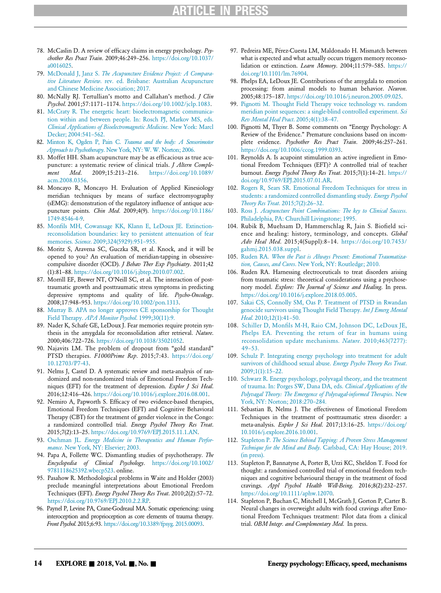- <span id="page-13-30"></span><span id="page-13-8"></span>78. McCaslin D. A review of efficacy claims in energy psychology. Psychother Res Pract Train. 2009;46:249–256. [https://doi.org/10.1037/](https://doi.org/10.1037/a0016025) [a0016025.](https://doi.org/10.1037/a0016025)
- <span id="page-13-26"></span><span id="page-13-7"></span>79. McDonald J, Janz S. [The Acupuncture Evidence Project: A Compara](http://refhub.elsevier.com/S1550-8307(18)30351-3/sbref0074)tive Literature Review[. rev. ed. Brisbane: Australian Acupuncture](http://refhub.elsevier.com/S1550-8307(18)30351-3/sbref0074) [and Chinese Medicine Association; 2017.](http://refhub.elsevier.com/S1550-8307(18)30351-3/sbref0074)
- <span id="page-13-11"></span><span id="page-13-0"></span>80. McNally RJ. Tertullian's motto and Callahan's method. J Clin Psychol. 2001;57:1171–1174. [https://doi.org/10.1002/jclp.1083.](https://doi.org/10.1002/jclp.1083)
- <span id="page-13-24"></span><span id="page-13-20"></span>81. [McCraty R. The energetic heart: bioelectromagnetic communica](http://refhub.elsevier.com/S1550-8307(18)30351-3/sbref0076)[tion within and between people. In: Rosch PJ, Markov MS, eds.](http://refhub.elsevier.com/S1550-8307(18)30351-3/sbref0076) [Clinical Applications of Bioelectromagnetic Medicine](http://refhub.elsevier.com/S1550-8307(18)30351-3/sbref0076). New York: Marcl [Decker; 2004:541](http://refhub.elsevier.com/S1550-8307(18)30351-3/sbref0076)–562.
- <span id="page-13-5"></span>82. Minton K, Ogden P, Pain C. [Trauma and the body: A Sensorimotor](http://refhub.elsevier.com/S1550-8307(18)30351-3/sbref0077) Approach to Psychotherapy[. New York, NY: W. W. Norton; 2006.](http://refhub.elsevier.com/S1550-8307(18)30351-3/sbref0077)
- <span id="page-13-18"></span><span id="page-13-16"></span>83. Moffet HH. Sham acupuncture may be as efficacious as true acupuncture: a systematic review of clinical trials. *J Altern Comple*ment Med. 2009;15:213–216. [https://doi.org/10.1089/](https://doi.org/10.1089/acm.2008.0356) [acm.2008.0356.](https://doi.org/10.1089/acm.2008.0356)
- <span id="page-13-28"></span><span id="page-13-17"></span>84. Moncayo R, Moncayo H. Evaluation of Applied Kinesiology meridian techniques by means of surface electromyography (sEMG): demonstration of the regulatory influence of antique acupuncture points. Chin Med. 2009;4(9). [https://doi.org/10.1186/](https://doi.org/10.1186/1749-8546-4-9) [1749-8546-4-9.](https://doi.org/10.1186/1749-8546-4-9)
- <span id="page-13-31"></span><span id="page-13-25"></span><span id="page-13-21"></span>85. Monfi[ls MH, Cowansage KK, Klann E, LeDoux JE. Extinction](http://refhub.elsevier.com/S1550-8307(18)30351-3/sbref0079)[reconsolidation boundaries: key to persistent attenuation of fear](http://refhub.elsevier.com/S1550-8307(18)30351-3/sbref0079) memories. Science[. 2009;324\(5929\):951](http://refhub.elsevier.com/S1550-8307(18)30351-3/sbref0079)–955.
- <span id="page-13-35"></span><span id="page-13-10"></span>86. Moritz S, Aravena SC, Guczka SR, et al. Knock, and it will be opened to you? An evaluation of meridian-tapping in obsessivecompulsive disorder (OCD). J Behav Ther Exp Psychiatry. 2011;42 (1):81–88. [https://doi.org/10.1016/j.jbtep.2010.07.002.](https://doi.org/10.1016/j.jbtep.2010.07.002)
- <span id="page-13-36"></span><span id="page-13-33"></span>87. Morrill EF, Brewer NT, O'Neill SC, et al. The interaction of posttraumatic growth and posttraumatic stress symptoms in predicting depressive symptoms and quality of life. Psycho-Oncology. 2008;17:948–953. [https://doi.org/10.1002/pon.1313.](https://doi.org/10.1002/pon.1313)
- <span id="page-13-22"></span><span id="page-13-2"></span>88. [Murray B. APA no longer approves CE sponsorship for Thought](http://refhub.elsevier.com/S1550-8307(18)30351-3/sbref0082) Field Therapy. [APA Monitor Psychol](http://refhub.elsevier.com/S1550-8307(18)30351-3/sbref0082). 1999;30(11):9.
- <span id="page-13-32"></span><span id="page-13-29"></span>89. Nader K, Schafe GE, LeDoux J. Fear memories require protein synthesis in the amygdala for reconsolidation after retrieval. Nature. 2000;406:722–726. [https://doi.org/10.1038/35021052.](https://doi.org/10.1038/35021052)
- <span id="page-13-23"></span><span id="page-13-4"></span>90. Najavits LM. The problem of dropout from "gold standard" PTSD therapies. F1000Prime Rep. 2015;7:43. [https://doi.org/](https://doi.org/10.12703/P7-43) [10.12703/P7-43.](https://doi.org/10.12703/P7-43)
- <span id="page-13-34"></span><span id="page-13-12"></span>91. Nelms J, Castel D. A systematic review and meta-analysis of randomized and non-randomized trials of Emotional Freedom Techniques (EFT) for the treatment of depression. Explor J Sci Heal. 2016;12:416–426. [https://doi.org/10.1016/j.explore.2016.08.001.](https://doi.org/10.1016/j.explore.2016.08.001)
- <span id="page-13-14"></span><span id="page-13-3"></span>92. Nemiro A, Papworth S. Efficacy of two evidence-based therapies, Emotional Freedom Techniques (EFT) and Cognitive Behavioral Therapy (CBT) for the treatment of gender violence in the Congo: a randomized controlled trial. Energy Psychol Theory Res Treat. 2015;7(2):13–25. [https://doi.org/10.9769/EPJ.2015.11.1.AN.](https://doi.org/10.9769/EPJ.2015.11.1.AN)
- <span id="page-13-9"></span><span id="page-13-1"></span>93. Oschman JL. [Energy Medicine in Therapeutics and Human Perfor-](http://refhub.elsevier.com/S1550-8307(18)30351-3/sbref0087)mance[. New York, NY: Elsevier; 2003.](http://refhub.elsevier.com/S1550-8307(18)30351-3/sbref0087)
- <span id="page-13-15"></span><span id="page-13-13"></span>94. Papa A, Follette WC. Dismantling studies of psychotherapy. The Encyclopedia of Clinical Psychology. [https://doi.org/10.1002/](https://doi.org/10.1002/9781118625392.wbecp523) [9781118625392.wbecp523. online.](https://doi.org/10.1002/9781118625392.wbecp523)
- <span id="page-13-19"></span>95. Pasahow R. Methodological problems in Waite and Holder (2003) preclude meaningful interpretations about Emotional Freedom Techniques (EFT). Energy Psychol Theory Res Treat. 2010;2(2):57–72. [https://doi.org/10.9769/EPJ.2010.2.2.RP.](https://doi.org/10.9769/EPJ.2010.2.2.RP)
- <span id="page-13-27"></span><span id="page-13-6"></span>96. Paynel P, Levine PA, Crane-Godreaul MA. Somatic experiencing: using interoception and proprioception as core elements of trauma therapy. Front Psychol. 2015;6:93. [https://doi.org/10.3389/fpsyg. 2015.00093.](https://doi.org/10.3389/fpsyg. 2015.00093)
- 97. Pedreira ME, Pérez-Cuesta LM, Maldonado H. Mismatch between what is expected and what actually occurs triggers memory reconsolidation or extinction. Learn Memory. 2004;11:579-585. [https://](https://doi.org/10.1101/lm.76904) [doi.org/10.1101/lm.76904.](https://doi.org/10.1101/lm.76904)
- 98. Phelps EA, LeDoux JE. Contributions of the amygdala to emotion processing: from animal models to human behavior. Neuron. 2005;48:175–187. [https://doi.org/10.1016/j.neuron.2005.09.025.](https://doi.org/10.1016/j.neuron.2005.09.025)
- 99. [Pignotti M. Thought Field Therapy voice technology vs. random](http://refhub.elsevier.com/S1550-8307(18)30351-3/sbref0093) [meridian point sequences: a single-blind controlled experiment.](http://refhub.elsevier.com/S1550-8307(18)30351-3/sbref0093) Sci [Rev Mental Heal Pract](http://refhub.elsevier.com/S1550-8307(18)30351-3/sbref0093). 2005;4(1):38–47.
- 100. Pignotti M, Thyer B. Some comments on "Energy Psychology: A Review of the Evidence." Premature conclusions based on incomplete evidence. Psychother Res Pract Train. 2009;46:257–261. [https://doi.org/10.1006/ccog.1999.0393.](https://doi.org/10.1006/ccog.1999.0393)
- 101. Reynolds A. Is acupoint stimulation an active ingredient in Emotional Freedom Techniques (EFT)? A controlled trial of teacher burnout. Energy Psychol Theory Res Treat. 2015;7(1):14–21. [https://](https://doi.org/10.9769/EPJ.2015.07.01.AR) [doi.org/10.9769/EPJ.2015.07.01.AR.](https://doi.org/10.9769/EPJ.2015.07.01.AR)
- 102. [Rogers R, Sears SR. Emotional Freedom Techniques for stress in](http://refhub.elsevier.com/S1550-8307(18)30351-3/sbref0096) [students: a randomized controlled dismantling study.](http://refhub.elsevier.com/S1550-8307(18)30351-3/sbref0096) Energy Psychol [Theory Res Treat](http://refhub.elsevier.com/S1550-8307(18)30351-3/sbref0096). 2015;7(2):26–32.
- 103. Ross J. [Acupuncture Point Combinations: The key to Clinical Success](http://refhub.elsevier.com/S1550-8307(18)30351-3/sbref0097). [Philadelphia, PA: Churchill Livingstone; 1995.](http://refhub.elsevier.com/S1550-8307(18)30351-3/sbref0097)
- 104. Rubik B, Muehsam D, Hammerschlag R, Jain S. Biofield science and healing: history, terminology, and concepts. Global Adv Heal Med. 2015;4(Suppl):8-14. [https://doi.org/10.7453/](https://doi.org/10.7453/gahmj.2015.038.suppl) [gahmj.2015.038.suppl.](https://doi.org/10.7453/gahmj.2015.038.suppl)
- 105. Ruden RA. [When the Past is Always Present: Emotional Traumatiza-](http://refhub.elsevier.com/S1550-8307(18)30351-3/sbref0100)tion, Causes, and Cures[. New York, NY: Routledge; 2010.](http://refhub.elsevier.com/S1550-8307(18)30351-3/sbref0100)
- 106. Ruden RA. Harnessing electroceuticals to treat disorders arising from traumatic stress: theoretical considerations using a psychosenory model. Explore: The Journal of Science and Healing. In press. [https://doi.org/10.1016/j.explore.2018.05.005.](https://doi.org/10.1016/j.explore.2018.05.005)
- 107. [Sakai CS, Connolly SM, Oas P. Treatment of PTSD in Rwandan](http://refhub.elsevier.com/S1550-8307(18)30351-3/sbref0101) [genocide survivors using Thought Field Therapy.](http://refhub.elsevier.com/S1550-8307(18)30351-3/sbref0101) Int J Emerg Mental Heal[. 2010;12\(1\):41](http://refhub.elsevier.com/S1550-8307(18)30351-3/sbref0101)-50.
- 108. Schiller D, Monfi[ls M-H, Raio CM, Johnson DC, LeDoux JE,](http://refhub.elsevier.com/S1550-8307(18)30351-3/sbref0102) [Phelps EA. Preventing the return of fear in humans using](http://refhub.elsevier.com/S1550-8307(18)30351-3/sbref0102) [reconsolidation update mechanisms.](http://refhub.elsevier.com/S1550-8307(18)30351-3/sbref0102) Nature. 2010;463(7277): 49–[53.](http://refhub.elsevier.com/S1550-8307(18)30351-3/sbref0102)
- 109. [Schulz P. Integrating energy psychology into treatment for adult](http://refhub.elsevier.com/S1550-8307(18)30351-3/sbref0103) [survivors of childhood sexual abuse.](http://refhub.elsevier.com/S1550-8307(18)30351-3/sbref0103) Energy Psycho Theory Res Treat. [2009;1\(1\):15](http://refhub.elsevier.com/S1550-8307(18)30351-3/sbref0103)–22.
- 110. [Schwarz R. Energy psychology, polyvagal theory, and the treatment](http://refhub.elsevier.com/S1550-8307(18)30351-3/sbref0104) [of trauma. In: Porges SW, Dana DA, eds.](http://refhub.elsevier.com/S1550-8307(18)30351-3/sbref0104) Clinical Applications of the [Polyvagal Theory: The Emergence of Polyvagal-informed Therapies](http://refhub.elsevier.com/S1550-8307(18)30351-3/sbref0104). New [York, NY: Norton; 2018:270](http://refhub.elsevier.com/S1550-8307(18)30351-3/sbref0104)–284.
- 111. Sebastian B, Nelms J. The effectiveness of Emotional Freedom Techniques in the treatment of posttraumatic stress disorder: a meta-analysis. Explor J Sci Heal. 2017;13:16-25. [https://doi.org/](https://doi.org/10.1016/j.explore.2016.10.001) [10.1016/j.explore.2016.10.001.](https://doi.org/10.1016/j.explore.2016.10.001)
- 112. Stapleton P. [The Science Behind Tapping: A Proven Stress Management](http://refhub.elsevier.com/S1550-8307(18)30351-3/sbref0106) Technique for the Mind and Body[. Carlsbad, CA: Hay House; 2019.](http://refhub.elsevier.com/S1550-8307(18)30351-3/sbref0106) [\(in press\).](http://refhub.elsevier.com/S1550-8307(18)30351-3/sbref0106)
- 113. Stapleton P, Bannatyne A, Porter B, Urzi KC, Sheldon T. Food for thought: a randomised controlled trial of emotional freedom techniques and cognitive behavioural therapy in the treatment of food cravings. Appl Psychol Health Well-Being. 2016;8(2):232-257. [https://doi.org/10.1111/aphw.12070.](https://doi.org/10.1111/aphw.12070)
- 114. Stapleton P, Buchan C, Mitchell I, McGrath J, Gorton P, Carter B. Neural changes in overweight adults with food cravings after Emotional Freedom Techniques treatment: Pilot data from a clinical trial. OBM Integr. and Complementary Med. In press.